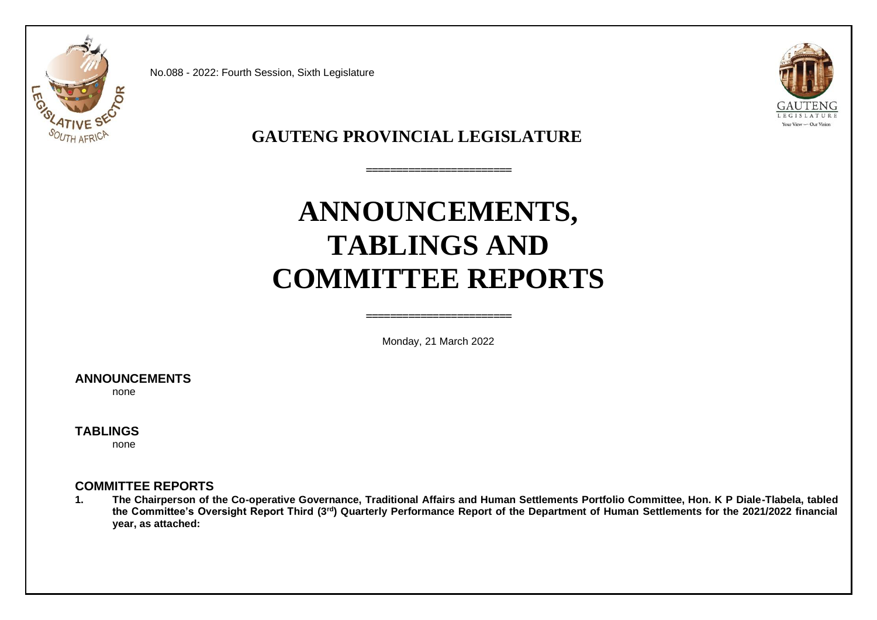

No.088 - 2022: Fourth Session, Sixth Legislature



**GAUTENG PROVINCIAL LEGISLATURE**

# **ANNOUNCEMENTS, TABLINGS AND COMMITTEE REPORTS**

**========================** 

Monday, 21 March 2022

**========================**

## **ANNOUNCEMENTS**

none

## **TABLINGS**

none

## **COMMITTEE REPORTS**

**1. The Chairperson of the Co-operative Governance, Traditional Affairs and Human Settlements Portfolio Committee, Hon. K P Diale-Tlabela, tabled the Committee's Oversight Report Third (3rd) Quarterly Performance Report of the Department of Human Settlements for the 2021/2022 financial year, as attached:**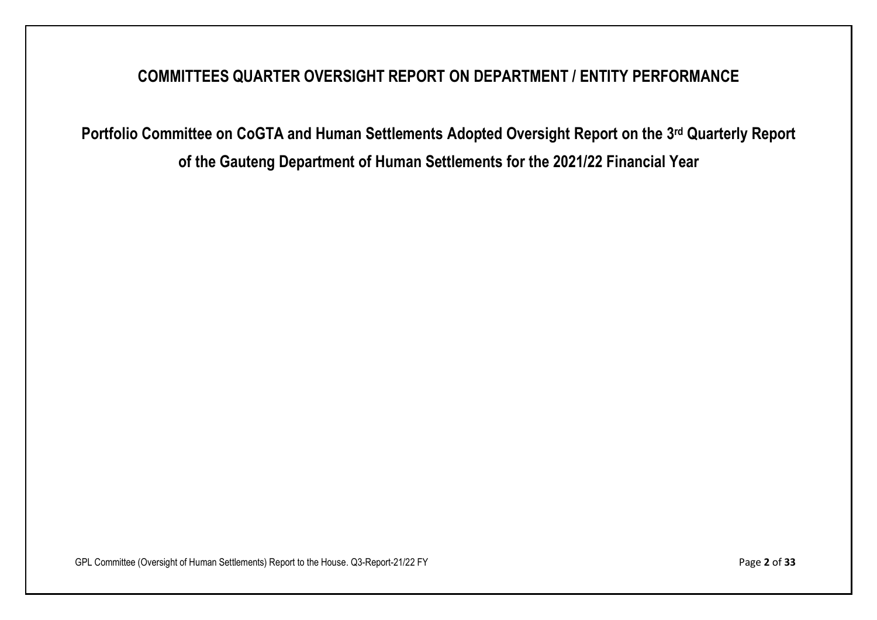## **COMMITTEES QUARTER OVERSIGHT REPORT ON DEPARTMENT / ENTITY PERFORMANCE**

**Portfolio Committee on CoGTA and Human Settlements Adopted Oversight Report on the 3 rd Quarterly Report of the Gauteng Department of Human Settlements for the 2021/22 Financial Year**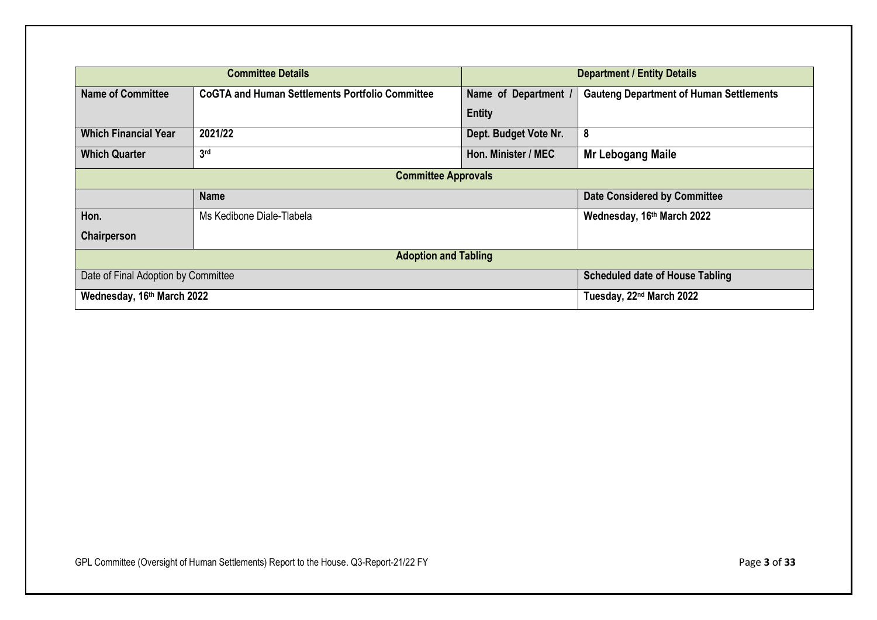|                             | <b>Committee Details</b>                                                      | <b>Department / Entity Details</b>                                   |                                      |  |  |  |
|-----------------------------|-------------------------------------------------------------------------------|----------------------------------------------------------------------|--------------------------------------|--|--|--|
| <b>Name of Committee</b>    | <b>CoGTA and Human Settlements Portfolio Committee</b>                        | <b>Gauteng Department of Human Settlements</b><br>Name of Department |                                      |  |  |  |
|                             |                                                                               | <b>Entity</b>                                                        |                                      |  |  |  |
| <b>Which Financial Year</b> | 2021/22                                                                       | Dept. Budget Vote Nr.                                                | 8                                    |  |  |  |
| <b>Which Quarter</b>        | 3 <sub>rd</sub>                                                               | Hon. Minister / MEC<br><b>Mr Lebogang Maile</b>                      |                                      |  |  |  |
|                             | <b>Committee Approvals</b>                                                    |                                                                      |                                      |  |  |  |
|                             | <b>Date Considered by Committee</b><br><b>Name</b>                            |                                                                      |                                      |  |  |  |
| Hon.                        | Ms Kedibone Diale-Tlabela                                                     |                                                                      | Wednesday, 16th March 2022           |  |  |  |
| Chairperson                 |                                                                               |                                                                      |                                      |  |  |  |
| <b>Adoption and Tabling</b> |                                                                               |                                                                      |                                      |  |  |  |
|                             | <b>Scheduled date of House Tabling</b><br>Date of Final Adoption by Committee |                                                                      |                                      |  |  |  |
| Wednesday, 16th March 2022  |                                                                               |                                                                      | Tuesday, 22 <sup>nd</sup> March 2022 |  |  |  |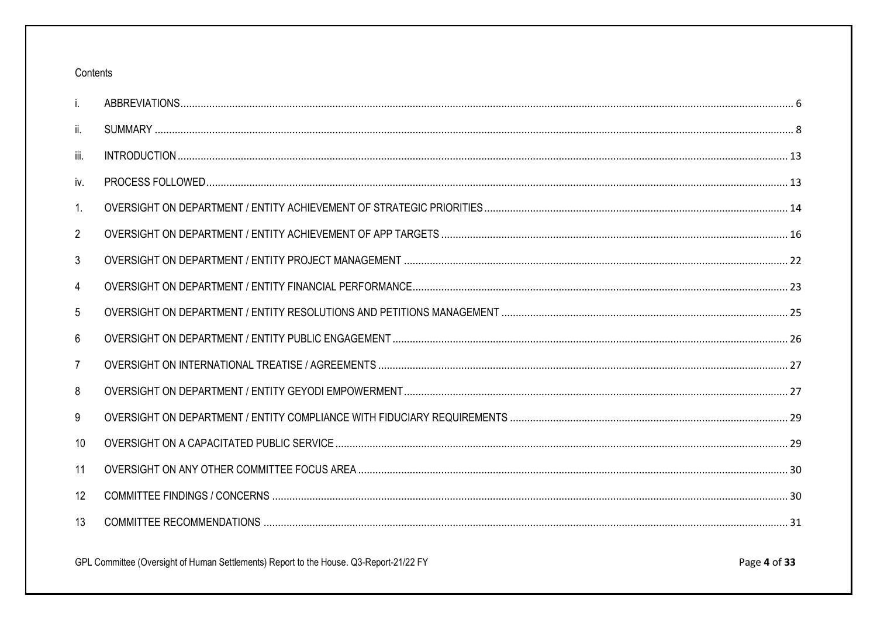## Contents

| i.             |  |
|----------------|--|
| Ш.             |  |
| iii.           |  |
| iv.            |  |
| 1.             |  |
| $\overline{2}$ |  |
| 3              |  |
| 4              |  |
| 5              |  |
| 6              |  |
| 7              |  |
| 8              |  |
| 9              |  |
| 10             |  |
| 11             |  |
| 12             |  |
| 13             |  |
|                |  |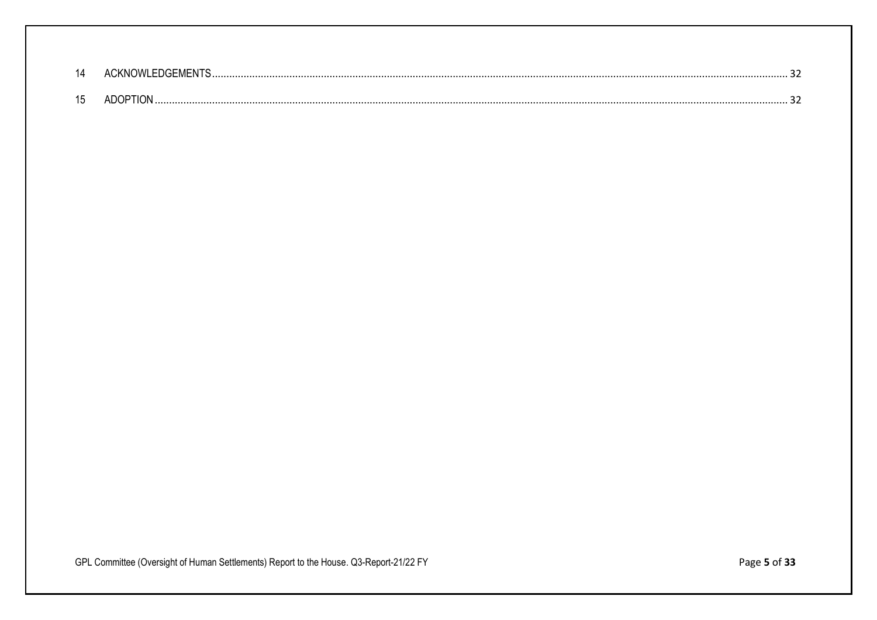| 14           |  |
|--------------|--|
| $\mathbf{A}$ |  |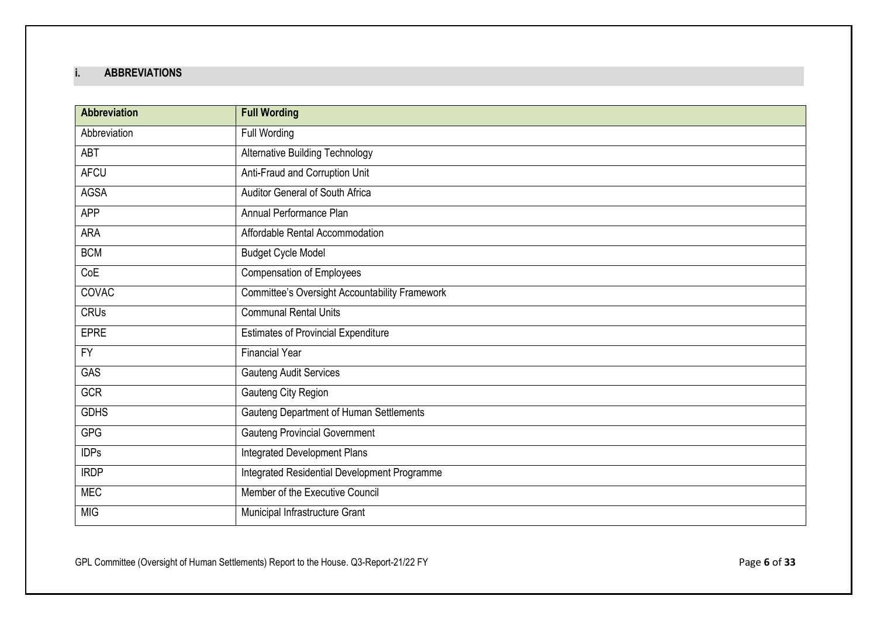## <span id="page-5-0"></span>**i. ABBREVIATIONS**

| <b>Abbreviation</b> | <b>Full Wording</b>                                   |
|---------------------|-------------------------------------------------------|
| Abbreviation        | Full Wording                                          |
| ABT                 | <b>Alternative Building Technology</b>                |
| <b>AFCU</b>         | Anti-Fraud and Corruption Unit                        |
| AGSA                | Auditor General of South Africa                       |
| <b>APP</b>          | Annual Performance Plan                               |
| ARA                 | Affordable Rental Accommodation                       |
| <b>BCM</b>          | <b>Budget Cycle Model</b>                             |
| CoE                 | <b>Compensation of Employees</b>                      |
| <b>COVAC</b>        | <b>Committee's Oversight Accountability Framework</b> |
| <b>CRUs</b>         | <b>Communal Rental Units</b>                          |
| <b>EPRE</b>         | <b>Estimates of Provincial Expenditure</b>            |
| $\overline{FY}$     | <b>Financial Year</b>                                 |
| <b>GAS</b>          | <b>Gauteng Audit Services</b>                         |
| <b>GCR</b>          | Gauteng City Region                                   |
| <b>GDHS</b>         | Gauteng Department of Human Settlements               |
| <b>GPG</b>          | Gauteng Provincial Government                         |
| <b>IDPs</b>         | Integrated Development Plans                          |
| <b>IRDP</b>         | Integrated Residential Development Programme          |
| <b>MEC</b>          | Member of the Executive Council                       |
| <b>MIG</b>          | Municipal Infrastructure Grant                        |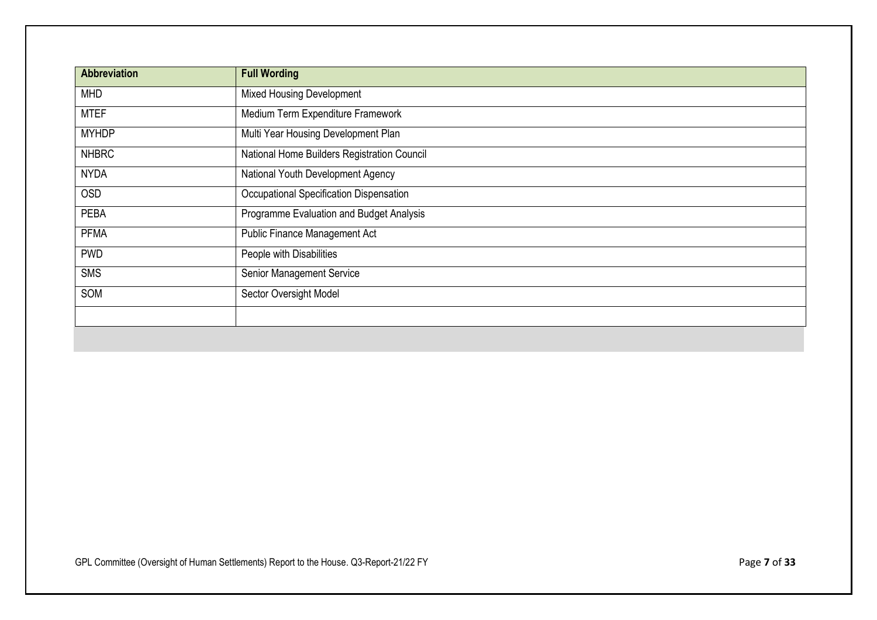| <b>Abbreviation</b> | <b>Full Wording</b>                         |
|---------------------|---------------------------------------------|
| <b>MHD</b>          | <b>Mixed Housing Development</b>            |
| <b>MTEF</b>         | Medium Term Expenditure Framework           |
| <b>MYHDP</b>        | Multi Year Housing Development Plan         |
| <b>NHBRC</b>        | National Home Builders Registration Council |
| <b>NYDA</b>         | National Youth Development Agency           |
| <b>OSD</b>          | Occupational Specification Dispensation     |
| <b>PEBA</b>         | Programme Evaluation and Budget Analysis    |
| <b>PFMA</b>         | Public Finance Management Act               |
| <b>PWD</b>          | People with Disabilities                    |
| <b>SMS</b>          | Senior Management Service                   |
| SOM                 | Sector Oversight Model                      |
|                     |                                             |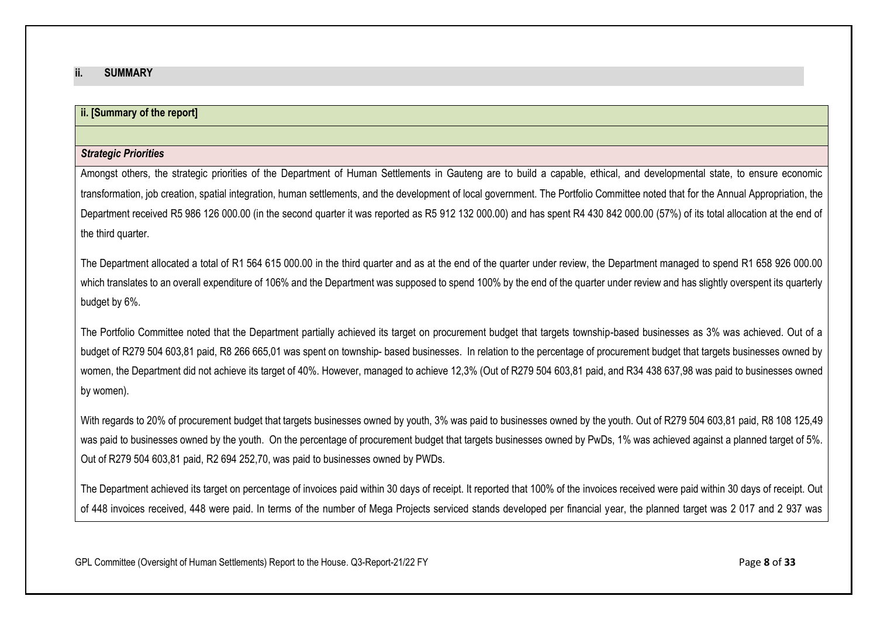#### <span id="page-7-0"></span>**ii. SUMMARY**

## **ii. [Summary of the report]**

#### *Strategic Priorities*

Amongst others, the strategic priorities of the Department of Human Settlements in Gauteng are to build a capable, ethical, and developmental state, to ensure economic transformation, job creation, spatial integration, human settlements, and the development of local government. The Portfolio Committee noted that for the Annual Appropriation, the Department received R5 986 126 000.00 (in the second quarter it was reported as R5 912 132 000.00) and has spent R4 430 842 000.00 (57%) of its total allocation at the end of the third quarter.

The Department allocated a total of R1 564 615 000.00 in the third quarter and as at the end of the quarter under review, the Department managed to spend R1 658 926 000.00 which translates to an overall expenditure of 106% and the Department was supposed to spend 100% by the end of the quarter under review and has slightly overspent its quarterly budget by 6%.

The Portfolio Committee noted that the Department partially achieved its target on procurement budget that targets township-based businesses as 3% was achieved. Out of a budget of R279 504 603,81 paid, R8 266 665,01 was spent on township- based businesses. In relation to the percentage of procurement budget that targets businesses owned by women, the Department did not achieve its target of 40%. However, managed to achieve 12,3% (Out of R279 504 603,81 paid, and R34 438 637,98 was paid to businesses owned by women).

With regards to 20% of procurement budget that targets businesses owned by youth, 3% was paid to businesses owned by the youth. Out of R279 504 603,81 paid, R8 108 125,49 was paid to businesses owned by the youth. On the percentage of procurement budget that targets businesses owned by PwDs, 1% was achieved against a planned target of 5%. Out of R279 504 603,81 paid, R2 694 252,70, was paid to businesses owned by PWDs.

The Department achieved its target on percentage of invoices paid within 30 days of receipt. It reported that 100% of the invoices received were paid within 30 days of receipt. Out of 448 invoices received, 448 were paid. In terms of the number of Mega Projects serviced stands developed per financial year, the planned target was 2 017 and 2 937 was

GPL Committee (Oversight of Human Settlements) Report to the House. Q3-Report-21/22 FY Page 8 of 33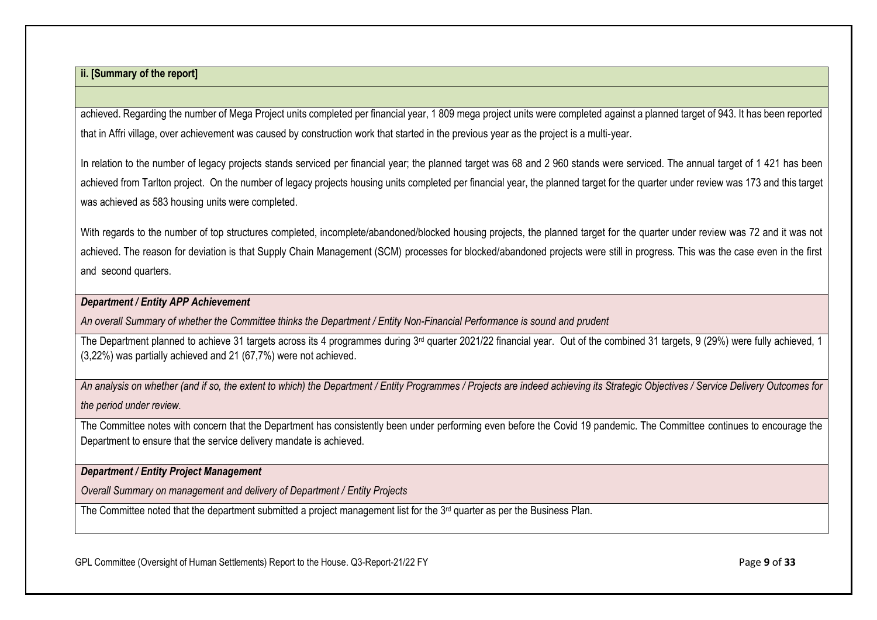achieved. Regarding the number of Mega Project units completed per financial year, 1 809 mega project units were completed against a planned target of 943. It has been reported that in Affri village, over achievement was caused by construction work that started in the previous year as the project is a multi-year.

In relation to the number of legacy projects stands serviced per financial year; the planned target was 68 and 2 960 stands were serviced. The annual target of 1 421 has been achieved from Tarlton project. On the number of legacy projects housing units completed per financial year, the planned target for the quarter under review was 173 and this target was achieved as 583 housing units were completed.

With regards to the number of top structures completed, incomplete/abandoned/blocked housing projects, the planned target for the quarter under review was 72 and it was not achieved. The reason for deviation is that Supply Chain Management (SCM) processes for blocked/abandoned projects were still in progress. This was the case even in the first and second quarters.

#### *Department / Entity APP Achievement*

*An overall Summary of whether the Committee thinks the Department / Entity Non-Financial Performance is sound and prudent*

The Department planned to achieve 31 targets across its 4 programmes during 3<sup>rd</sup> quarter 2021/22 financial year. Out of the combined 31 targets, 9 (29%) were fully achieved, 1 (3,22%) was partially achieved and 21 (67,7%) were not achieved.

*An analysis on whether (and if so, the extent to which) the Department / Entity Programmes / Projects are indeed achieving its Strategic Objectives / Service Delivery Outcomes for the period under review.*

The Committee notes with concern that the Department has consistently been under performing even before the Covid 19 pandemic. The Committee continues to encourage the Department to ensure that the service delivery mandate is achieved.

## *Department / Entity Project Management*

*Overall Summary on management and delivery of Department / Entity Projects*

The Committee noted that the department submitted a project management list for the 3<sup>rd</sup> quarter as per the Business Plan.

GPL Committee (Oversight of Human Settlements) Report to the House. Q3-Report-21/22 FY **Page 9 of 33** Page 9 of 33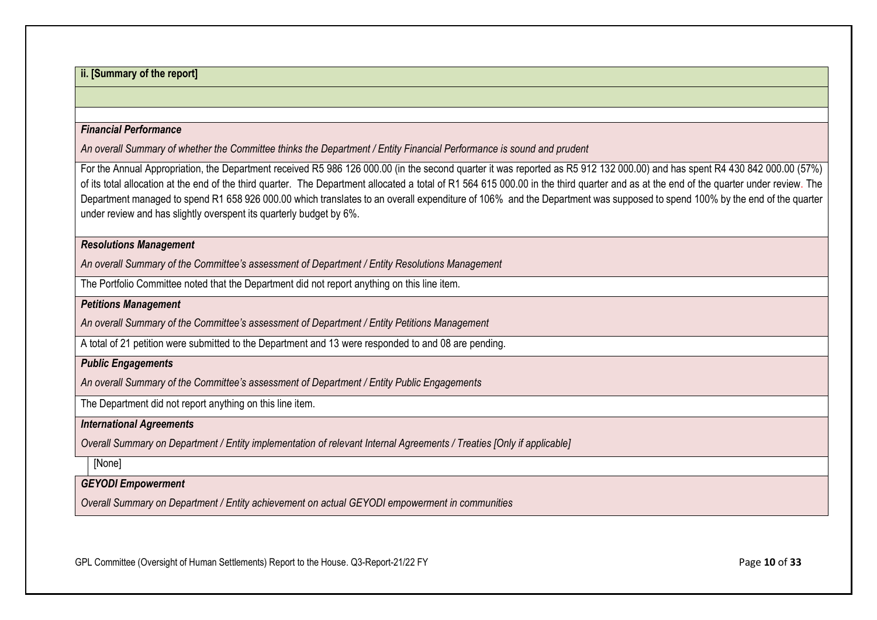#### *Financial Performance*

*An overall Summary of whether the Committee thinks the Department / Entity Financial Performance is sound and prudent*

For the Annual Appropriation, the Department received R5 986 126 000.00 (in the second quarter it was reported as R5 912 132 000.00) and has spent R4 430 842 000.00 (57%) of its total allocation at the end of the third quarter. The Department allocated a total of R1 564 615 000.00 in the third quarter and as at the end of the quarter under review. The Department managed to spend R1 658 926 000.00 which translates to an overall expenditure of 106% and the Department was supposed to spend 100% by the end of the quarter under review and has slightly overspent its quarterly budget by 6%.

#### *Resolutions Management*

*An overall Summary of the Committee's assessment of Department / Entity Resolutions Management*

The Portfolio Committee noted that the Department did not report anything on this line item.

*Petitions Management*

*An overall Summary of the Committee's assessment of Department / Entity Petitions Management*

A total of 21 petition were submitted to the Department and 13 were responded to and 08 are pending.

#### *Public Engagements*

*An overall Summary of the Committee's assessment of Department / Entity Public Engagements*

The Department did not report anything on this line item.

#### *International Agreements*

*Overall Summary on Department / Entity implementation of relevant Internal Agreements / Treaties [Only if applicable]* 

[None]

#### *GEYODI Empowerment*

*Overall Summary on Department / Entity achievement on actual GEYODI empowerment in communities*

GPL Committee (Oversight of Human Settlements) Report to the House. Q3-Report-21/22 FY **Page 10** of **33** Page **10** of **33**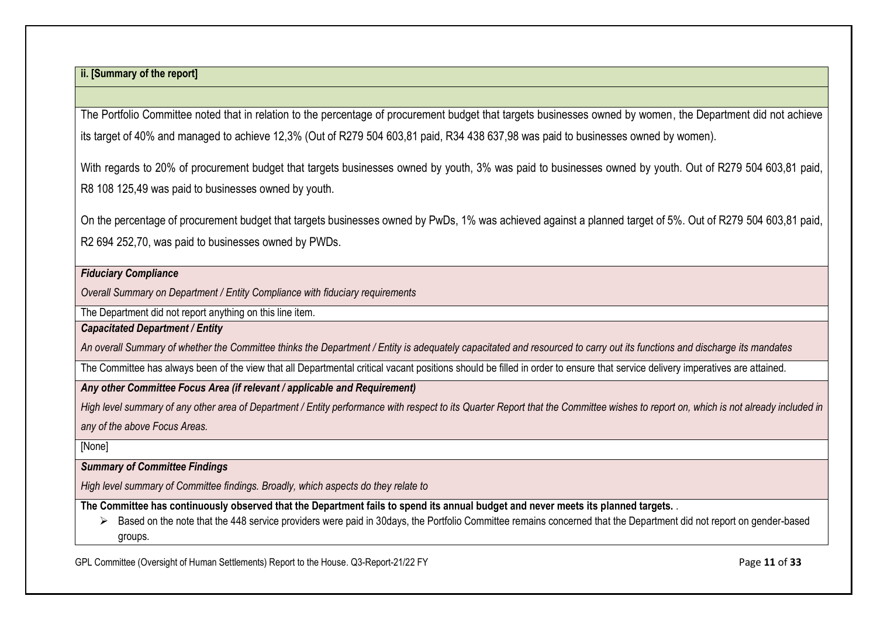The Portfolio Committee noted that in relation to the percentage of procurement budget that targets businesses owned by women, the Department did not achieve its target of 40% and managed to achieve 12,3% (Out of R279 504 603,81 paid, R34 438 637,98 was paid to businesses owned by women).

With regards to 20% of procurement budget that targets businesses owned by youth, 3% was paid to businesses owned by youth. Out of R279 504 603,81 paid, R8 108 125,49 was paid to businesses owned by youth.

On the percentage of procurement budget that targets businesses owned by PwDs, 1% was achieved against a planned target of 5%. Out of R279 504 603,81 paid, R2 694 252,70, was paid to businesses owned by PWDs.

#### *Fiduciary Compliance*

*Overall Summary on Department / Entity Compliance with fiduciary requirements*

The Department did not report anything on this line item.

*Capacitated Department / Entity*

*An overall Summary of whether the Committee thinks the Department / Entity is adequately capacitated and resourced to carry out its functions and discharge its mandates*

The Committee has always been of the view that all Departmental critical vacant positions should be filled in order to ensure that service delivery imperatives are attained.

*Any other Committee Focus Area (if relevant / applicable and Requirement)*

*High level summary of any other area of Department / Entity performance with respect to its Quarter Report that the Committee wishes to report on, which is not already included in any of the above Focus Areas.*

[None]

*Summary of Committee Findings*

*High level summary of Committee findings. Broadly, which aspects do they relate to*

**The Committee has continuously observed that the Department fails to spend its annual budget and never meets its planned targets.** .

➢ Based on the note that the 448 service providers were paid in 30days, the Portfolio Committee remains concerned that the Department did not report on gender-based groups.

GPL Committee (Oversight of Human Settlements) Report to the House. Q3-Report-21/22 FY Page 11 of 33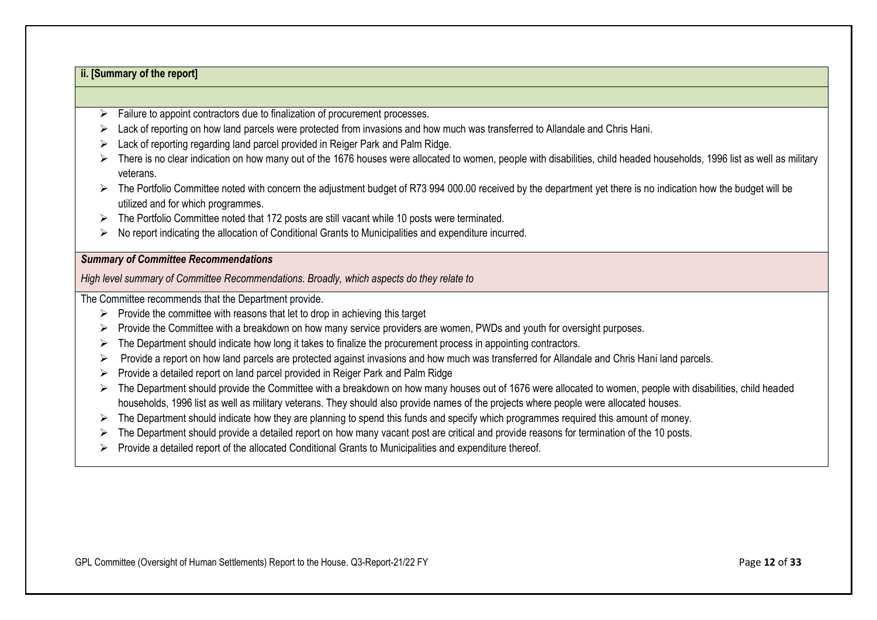- $\triangleright$  Failure to appoint contractors due to finalization of procurement processes.
- ➢ Lack of reporting on how land parcels were protected from invasions and how much was transferred to Allandale and Chris Hani.
- ➢ Lack of reporting regarding land parcel provided in Reiger Park and Palm Ridge.
- ➢ There is no clear indication on how many out of the 1676 houses were allocated to women, people with disabilities, child headed households, 1996 list as well as military veterans.
- ➢ The Portfolio Committee noted with concern the adjustment budget of R73 994 000.00 received by the department yet there is no indication how the budget will be utilized and for which programmes.
- ➢ The Portfolio Committee noted that 172 posts are still vacant while 10 posts were terminated.
- ➢ No report indicating the allocation of Conditional Grants to Municipalities and expenditure incurred.

#### *Summary of Committee Recommendations*

*High level summary of Committee Recommendations. Broadly, which aspects do they relate to*

The Committee recommends that the Department provide.

- $\triangleright$  Provide the committee with reasons that let to drop in achieving this target
- ➢ Provide the Committee with a breakdown on how many service providers are women, PWDs and youth for oversight purposes.
- ➢ The Department should indicate how long it takes to finalize the procurement process in appointing contractors.
- ➢ Provide a report on how land parcels are protected against invasions and how much was transferred for Allandale and Chris Hani land parcels.
- ➢ Provide a detailed report on land parcel provided in Reiger Park and Palm Ridge
- ➢ The Department should provide the Committee with a breakdown on how many houses out of 1676 were allocated to women, people with disabilities, child headed households, 1996 list as well as military veterans. They should also provide names of the projects where people were allocated houses.
- ➢ The Department should indicate how they are planning to spend this funds and specify which programmes required this amount of money.
- ➢ The Department should provide a detailed report on how many vacant post are critical and provide reasons for termination of the 10 posts.
- ➢ Provide a detailed report of the allocated Conditional Grants to Municipalities and expenditure thereof.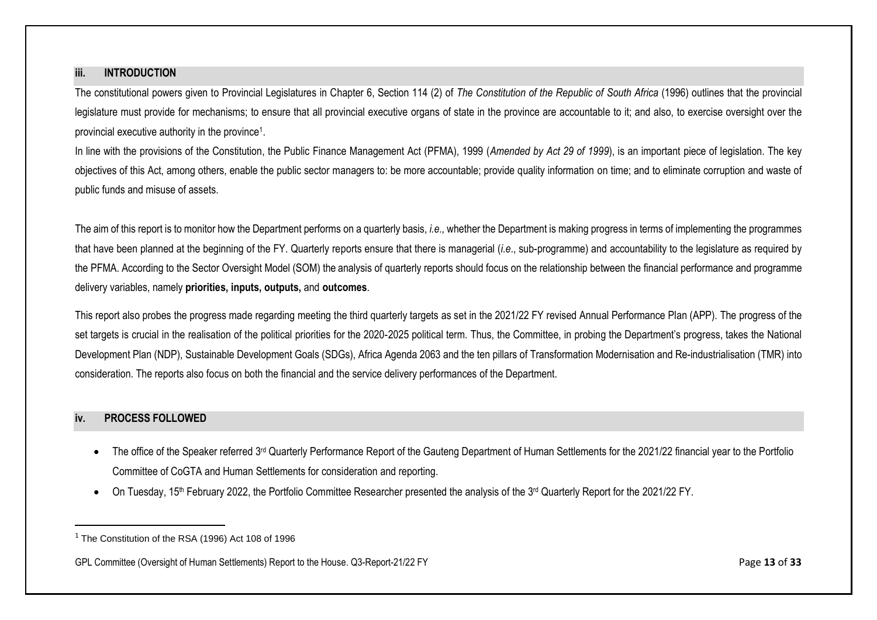#### <span id="page-12-0"></span>**iii. INTRODUCTION**

<span id="page-12-1"></span>The constitutional powers given to Provincial Legislatures in Chapter 6, Section 114 (2) of *The Constitution of the Republic of South Africa* (1996) outlines that the provincial legislature must provide for mechanisms; to ensure that all provincial executive organs of state in the province are accountable to it; and also, to exercise oversight over the provincial executive authority in the province<sup>1</sup>.

In line with the provisions of the Constitution, the Public Finance Management Act (PFMA), 1999 (*Amended by Act 29 of 1999*), is an important piece of legislation. The key objectives of this Act, among others, enable the public sector managers to: be more accountable; provide quality information on time; and to eliminate corruption and waste of public funds and misuse of assets.

The aim of this report is to monitor how the Department performs on a quarterly basis, *i.e.,* whether the Department is making progress in terms of implementing the programmes that have been planned at the beginning of the FY. Quarterly reports ensure that there is managerial (*i.e*., sub-programme) and accountability to the legislature as required by the PFMA. According to the Sector Oversight Model (SOM) the analysis of quarterly reports should focus on the relationship between the financial performance and programme delivery variables, namely **priorities, inputs, outputs,** and **outcomes**.

This report also probes the progress made regarding meeting the third quarterly targets as set in the 2021/22 FY revised Annual Performance Plan (APP). The progress of the set targets is crucial in the realisation of the political priorities for the 2020-2025 political term. Thus, the Committee, in probing the Department's progress, takes the National Development Plan (NDP), Sustainable Development Goals (SDGs), Africa Agenda 2063 and the ten pillars of Transformation Modernisation and Re-industrialisation (TMR) into consideration. The reports also focus on both the financial and the service delivery performances of the Department.

#### **iv. PROCESS FOLLOWED**

- The office of the Speaker referred 3<sup>rd</sup> Quarterly Performance Report of the Gauteng Department of Human Settlements for the 2021/22 financial year to the Portfolio Committee of CoGTA and Human Settlements for consideration and reporting.
- On Tuesday, 15<sup>th</sup> February 2022, the Portfolio Committee Researcher presented the analysis of the 3<sup>rd</sup> Quarterly Report for the 2021/22 FY.

<sup>&</sup>lt;sup>1</sup> The Constitution of the RSA (1996) Act 108 of 1996

GPL Committee (Oversight of Human Settlements) Report to the House. Q3-Report-21/22 FY Page 13 of 33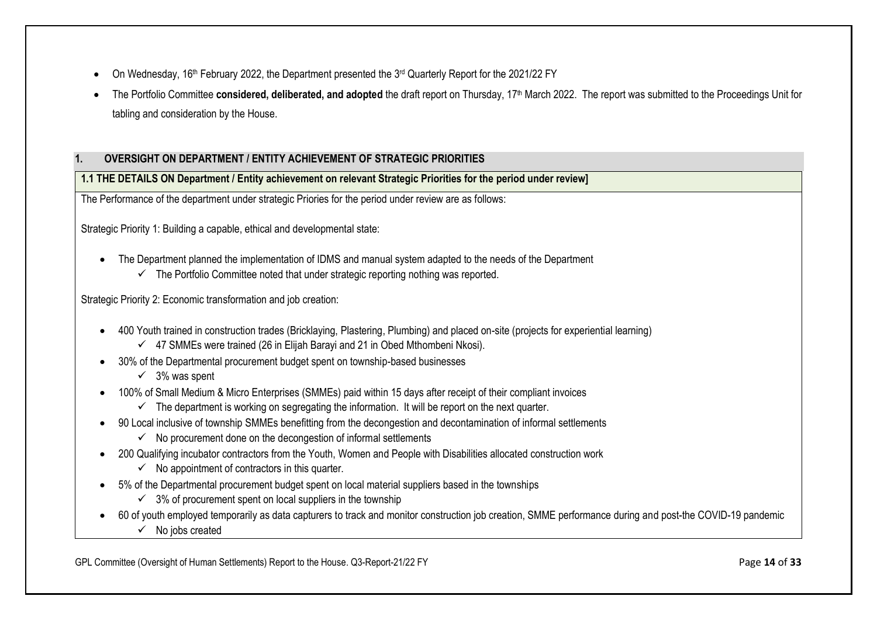- On Wednesday, 16<sup>th</sup> February 2022, the Department presented the 3<sup>rd</sup> Quarterly Report for the 2021/22 FY
- The Portfolio Committee **considered, deliberated, and adopted** the draft report on Thursday, 17th March 2022. The report was submitted to the Proceedings Unit for tabling and consideration by the House.

## <span id="page-13-0"></span>**1. OVERSIGHT ON DEPARTMENT / ENTITY ACHIEVEMENT OF STRATEGIC PRIORITIES**

**1.1 THE DETAILS ON Department / Entity achievement on relevant Strategic Priorities for the period under review]**

The Performance of the department under strategic Priories for the period under review are as follows:

Strategic Priority 1: Building a capable, ethical and developmental state:

- The Department planned the implementation of IDMS and manual system adapted to the needs of the Department
	- $\checkmark$  The Portfolio Committee noted that under strategic reporting nothing was reported.

Strategic Priority 2: Economic transformation and job creation:

- 400 Youth trained in construction trades (Bricklaying, Plastering, Plumbing) and placed on-site (projects for experiential learning)
	- $\checkmark$  47 SMMEs were trained (26 in Elijah Barayi and 21 in Obed Mthombeni Nkosi).
- 30% of the Departmental procurement budget spent on township-based businesses
	- $\checkmark$  3% was spent
- 100% of Small Medium & Micro Enterprises (SMMEs) paid within 15 days after receipt of their compliant invoices
	- $\checkmark$  The department is working on segregating the information. It will be report on the next quarter.
- 90 Local inclusive of township SMMEs benefitting from the decongestion and decontamination of informal settlements
	- $\checkmark$  No procurement done on the decongestion of informal settlements
- 200 Qualifying incubator contractors from the Youth, Women and People with Disabilities allocated construction work
	- $\checkmark$  No appointment of contractors in this quarter.
- 5% of the Departmental procurement budget spent on local material suppliers based in the townships
	- $\checkmark$  3% of procurement spent on local suppliers in the township
- 60 of youth employed temporarily as data capturers to track and monitor construction job creation, SMME performance during and post-the COVID-19 pandemic
	- $\checkmark$  No jobs created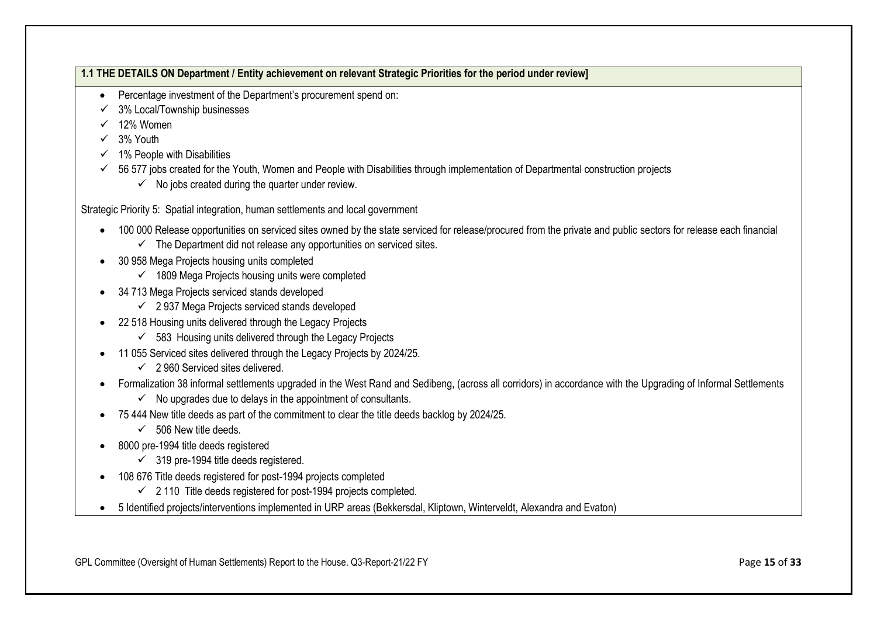## **1.1 THE DETAILS ON Department / Entity achievement on relevant Strategic Priorities for the period under review]**

- Percentage investment of the Department's procurement spend on:
- 3% Local/Township businesses
- $\checkmark$  12% Women
- ✓ 3% Youth
- $\checkmark$  1% People with Disabilities
- $\checkmark$  56 577 jobs created for the Youth, Women and People with Disabilities through implementation of Departmental construction projects
	- $\checkmark$  No jobs created during the quarter under review.

Strategic Priority 5: Spatial integration, human settlements and local government

- 100 000 Release opportunities on serviced sites owned by the state serviced for release/procured from the private and public sectors for release each financial
	- $\checkmark$  The Department did not release any opportunities on serviced sites.
- 30 958 Mega Projects housing units completed
	- $\checkmark$  1809 Mega Projects housing units were completed
- 34 713 Mega Projects serviced stands developed
	- $\checkmark$  2 937 Mega Projects serviced stands developed
- 22 518 Housing units delivered through the Legacy Projects
	- $\checkmark$  583 Housing units delivered through the Legacy Projects
- 11 055 Serviced sites delivered through the Legacy Projects by 2024/25.
	- $\checkmark$  2 960 Serviced sites delivered.
- Formalization 38 informal settlements upgraded in the West Rand and Sedibeng, (across all corridors) in accordance with the Upgrading of Informal Settlements
	- $\checkmark$  No upgrades due to delays in the appointment of consultants.
- 75 444 New title deeds as part of the commitment to clear the title deeds backlog by 2024/25.
	- $\checkmark$  506 New title deeds.
- 8000 pre-1994 title deeds registered
	- $\checkmark$  319 pre-1994 title deeds registered.
- 108 676 Title deeds registered for post-1994 projects completed
	- $\checkmark$  2 110 Title deeds registered for post-1994 projects completed.
- 5 Identified projects/interventions implemented in URP areas (Bekkersdal, Kliptown, Winterveldt, Alexandra and Evaton)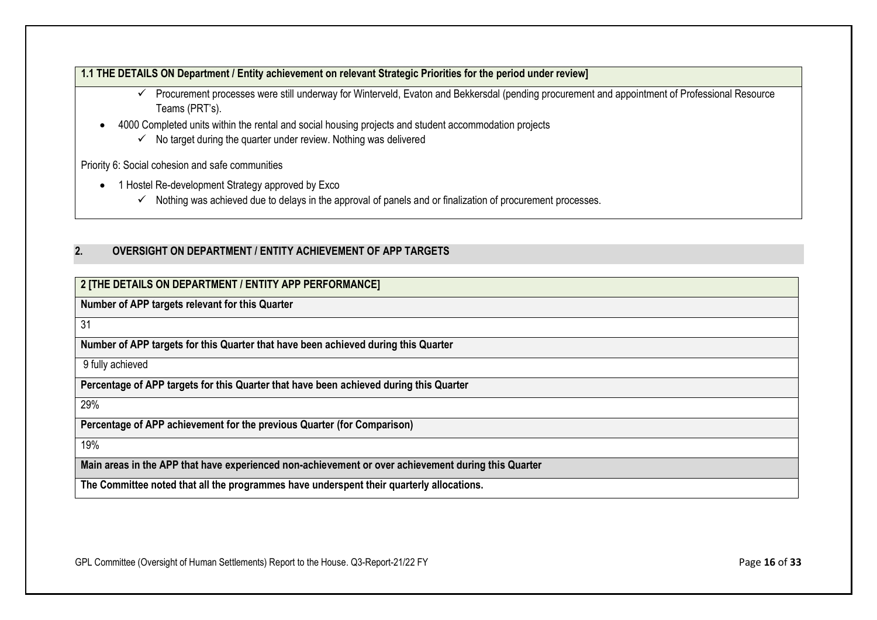#### **1.1 THE DETAILS ON Department / Entity achievement on relevant Strategic Priorities for the period under review]**

- ✓ Procurement processes were still underway for Winterveld, Evaton and Bekkersdal (pending procurement and appointment of Professional Resource Teams (PRT's).
- 4000 Completed units within the rental and social housing projects and student accommodation projects
	- $\checkmark$  No target during the quarter under review. Nothing was delivered

Priority 6: Social cohesion and safe communities

- 1 Hostel Re-development Strategy approved by Exco
	- ✓ Nothing was achieved due to delays in the approval of panels and or finalization of procurement processes.

## <span id="page-15-0"></span>**2. OVERSIGHT ON DEPARTMENT / ENTITY ACHIEVEMENT OF APP TARGETS**

## **2 [THE DETAILS ON DEPARTMENT / ENTITY APP PERFORMANCE]**

**Number of APP targets relevant for this Quarter**

31

**Number of APP targets for this Quarter that have been achieved during this Quarter**

9 fully achieved

**Percentage of APP targets for this Quarter that have been achieved during this Quarter**

29%

**Percentage of APP achievement for the previous Quarter (for Comparison)**

19%

**Main areas in the APP that have experienced non-achievement or over achievement during this Quarter**

**The Committee noted that all the programmes have underspent their quarterly allocations.**

GPL Committee (Oversight of Human Settlements) Report to the House. Q3-Report-21/22 FY Page 16 of 33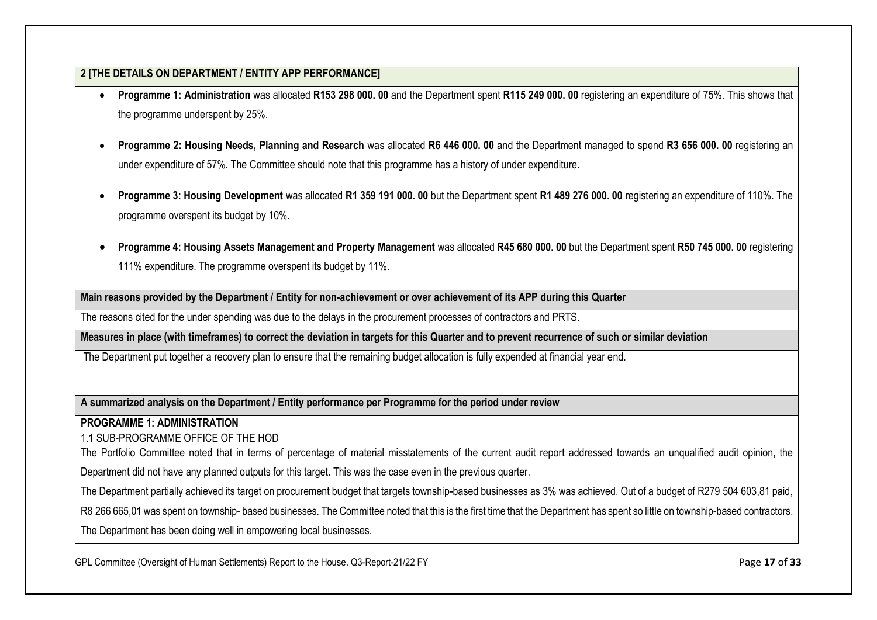- **Programme 1: Administration** was allocated **R153 298 000. 00** and the Department spent **R115 249 000. 00** registering an expenditure of 75%. This shows that the programme underspent by 25%.
- **Programme 2: Housing Needs, Planning and Research** was allocated **R6 446 000. 00** and the Department managed to spend **R3 656 000. 00** registering an under expenditure of 57%. The Committee should note that this programme has a history of under expenditure**.**
- **Programme 3: Housing Development** was allocated **R1 359 191 000. 00** but the Department spent **R1 489 276 000. 00** registering an expenditure of 110%. The programme overspent its budget by 10%.
- **Programme 4: Housing Assets Management and Property Management** was allocated **R45 680 000. 00** but the Department spent **R50 745 000. 00** registering 111% expenditure. The programme overspent its budget by 11%.

**Main reasons provided by the Department / Entity for non-achievement or over achievement of its APP during this Quarter**

The reasons cited for the under spending was due to the delays in the procurement processes of contractors and PRTS.

**Measures in place (with timeframes) to correct the deviation in targets for this Quarter and to prevent recurrence of such or similar deviation**

The Department put together a recovery plan to ensure that the remaining budget allocation is fully expended at financial year end.

**A summarized analysis on the Department / Entity performance per Programme for the period under review**

**PROGRAMME 1: ADMINISTRATION** 

1.1 SUB-PROGRAMME OFFICE OF THE HOD

The Portfolio Committee noted that in terms of percentage of material misstatements of the current audit report addressed towards an unqualified audit opinion, the

Department did not have any planned outputs for this target. This was the case even in the previous quarter.

The Department partially achieved its target on procurement budget that targets township-based businesses as 3% was achieved. Out of a budget of R279 504 603,81 paid,

R8 266 665,01 was spent on township-based businesses. The Committee noted that this is the first time that the Department has spent so little on township-based contractors.

The Department has been doing well in empowering local businesses.

GPL Committee (Oversight of Human Settlements) Report to the House. Q3-Report-21/22 FY **Page 17** of **33** Page 17 of **33**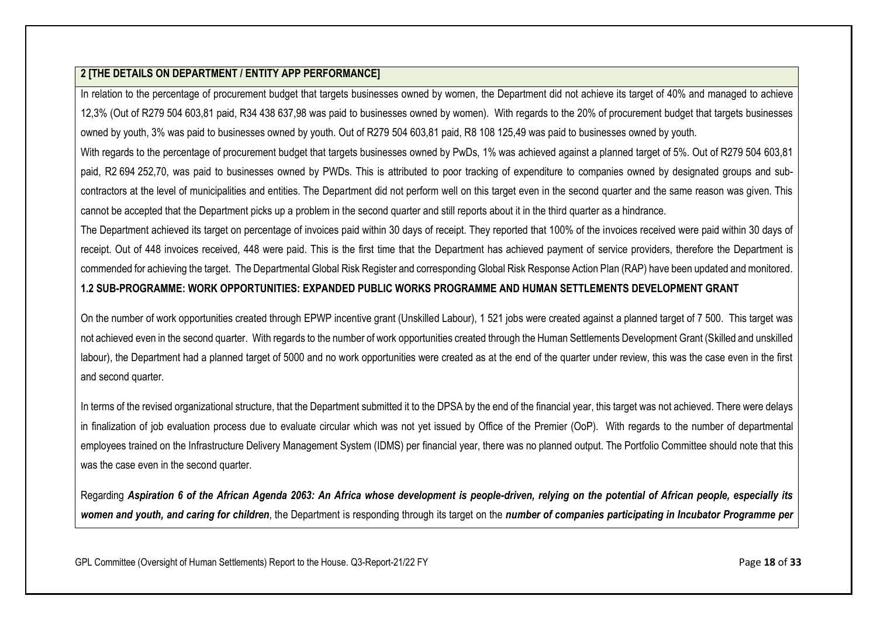In relation to the percentage of procurement budget that targets businesses owned by women, the Department did not achieve its target of 40% and managed to achieve 12,3% (Out of R279 504 603,81 paid, R34 438 637,98 was paid to businesses owned by women). With regards to the 20% of procurement budget that targets businesses owned by youth, 3% was paid to businesses owned by youth. Out of R279 504 603,81 paid, R8 108 125,49 was paid to businesses owned by youth.

With regards to the percentage of procurement budget that targets businesses owned by PwDs, 1% was achieved against a planned target of 5%. Out of R279 504 603,81 paid, R2 694 252,70, was paid to businesses owned by PWDs. This is attributed to poor tracking of expenditure to companies owned by designated groups and subcontractors at the level of municipalities and entities. The Department did not perform well on this target even in the second quarter and the same reason was given. This cannot be accepted that the Department picks up a problem in the second quarter and still reports about it in the third quarter as a hindrance.

The Department achieved its target on percentage of invoices paid within 30 days of receipt. They reported that 100% of the invoices received were paid within 30 days of receipt. Out of 448 invoices received, 448 were paid. This is the first time that the Department has achieved payment of service providers, therefore the Department is commended for achieving the target. The Departmental Global Risk Register and corresponding Global Risk Response Action Plan (RAP) have been updated and monitored. **1.2 SUB-PROGRAMME: WORK OPPORTUNITIES: EXPANDED PUBLIC WORKS PROGRAMME AND HUMAN SETTLEMENTS DEVELOPMENT GRANT**

On the number of work opportunities created through EPWP incentive grant (Unskilled Labour), 1 521 jobs were created against a planned target of 7 500. This target was not achieved even in the second quarter. With regards to the number of work opportunities created through the Human Settlements Development Grant (Skilled and unskilled labour), the Department had a planned target of 5000 and no work opportunities were created as at the end of the quarter under review, this was the case even in the first and second quarter.

In terms of the revised organizational structure, that the Department submitted it to the DPSA by the end of the financial year, this target was not achieved. There were delays in finalization of job evaluation process due to evaluate circular which was not yet issued by Office of the Premier (OoP). With regards to the number of departmental employees trained on the Infrastructure Delivery Management System (IDMS) per financial year, there was no planned output. The Portfolio Committee should note that this was the case even in the second quarter.

Regarding *Aspiration 6 of the African Agenda 2063: An Africa whose development is people-driven, relying on the potential of African people, especially its women and youth, and caring for children*, the Department is responding through its target on the *number of companies participating in Incubator Programme per* 

GPL Committee (Oversight of Human Settlements) Report to the House. Q3-Report-21/22 FY Page 18 of 33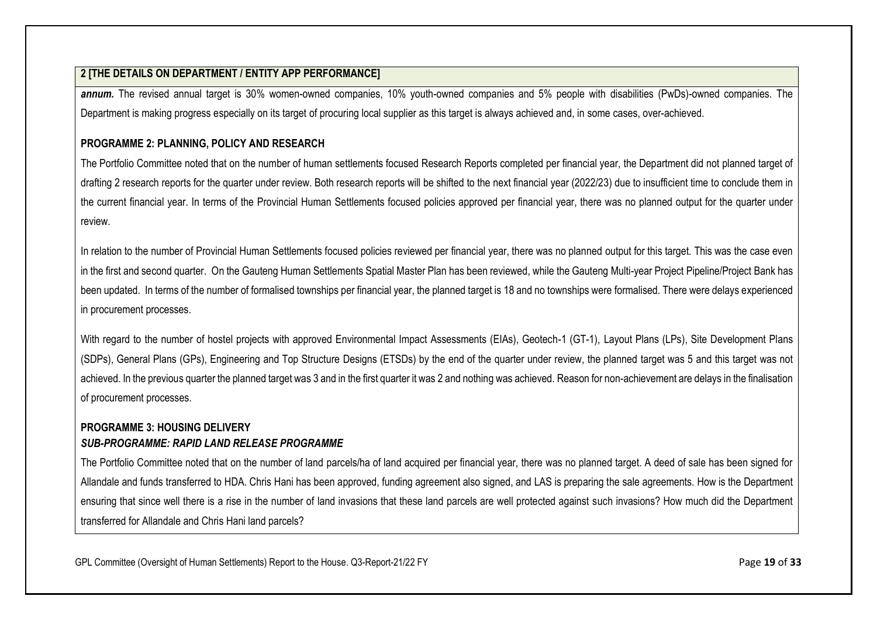*annum.* The revised annual target is 30% women-owned companies, 10% youth-owned companies and 5% people with disabilities (PwDs)-owned companies. The Department is making progress especially on its target of procuring local supplier as this target is always achieved and, in some cases, over-achieved.

## **PROGRAMME 2: PLANNING, POLICY AND RESEARCH**

The Portfolio Committee noted that on the number of human settlements focused Research Reports completed per financial year, the Department did not planned target of drafting 2 research reports for the quarter under review. Both research reports will be shifted to the next financial year (2022/23) due to insufficient time to conclude them in the current financial year. In terms of the Provincial Human Settlements focused policies approved per financial year, there was no planned output for the quarter under review.

In relation to the number of Provincial Human Settlements focused policies reviewed per financial year, there was no planned output for this target. This was the case even in the first and second quarter. On the Gauteng Human Settlements Spatial Master Plan has been reviewed, while the Gauteng Multi-year Project Pipeline/Project Bank has been updated. In terms of the number of formalised townships per financial year, the planned target is 18 and no townships were formalised. There were delays experienced in procurement processes.

With regard to the number of hostel projects with approved Environmental Impact Assessments (EIAs), Geotech-1 (GT-1), Layout Plans (LPs), Site Development Plans (SDPs), General Plans (GPs), Engineering and Top Structure Designs (ETSDs) by the end of the quarter under review, the planned target was 5 and this target was not achieved. In the previous quarter the planned target was 3 and in the first quarter it was 2 and nothing was achieved. Reason for non-achievement are delays in the finalisation of procurement processes.

## **PROGRAMME 3: HOUSING DELIVERY** *SUB-PROGRAMME: RAPID LAND RELEASE PROGRAMME*

The Portfolio Committee noted that on the number of land parcels/ha of land acquired per financial year, there was no planned target. A deed of sale has been signed for Allandale and funds transferred to HDA. Chris Hani has been approved, funding agreement also signed, and LAS is preparing the sale agreements. How is the Department ensuring that since well there is a rise in the number of land invasions that these land parcels are well protected against such invasions? How much did the Department transferred for Allandale and Chris Hani land parcels?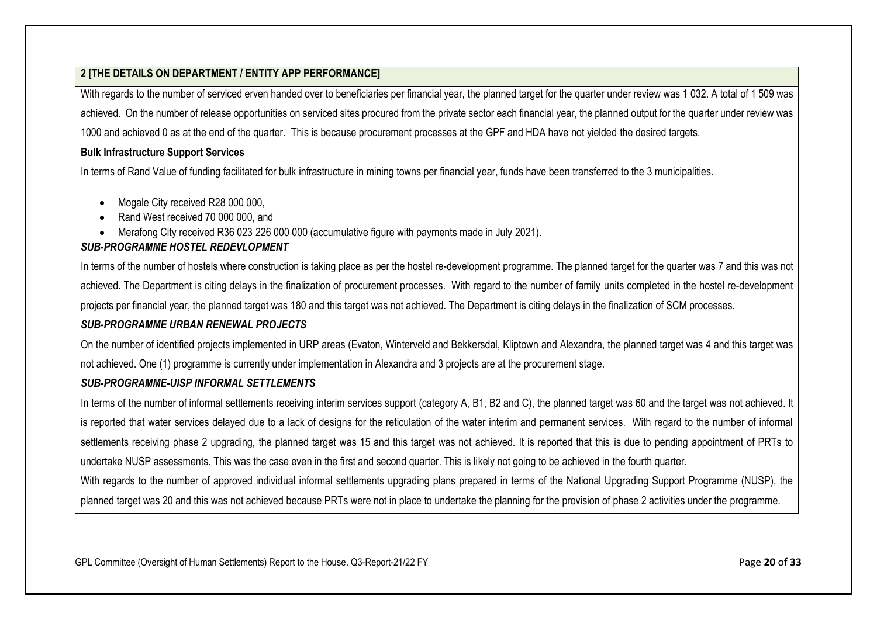With regards to the number of serviced erven handed over to beneficiaries per financial year, the planned target for the quarter under review was 1 032. A total of 1 509 was achieved. On the number of release opportunities on serviced sites procured from the private sector each financial year, the planned output for the quarter under review was 1000 and achieved 0 as at the end of the quarter. This is because procurement processes at the GPF and HDA have not yielded the desired targets.

#### **Bulk Infrastructure Support Services**

In terms of Rand Value of funding facilitated for bulk infrastructure in mining towns per financial year, funds have been transferred to the 3 municipalities.

- Mogale City received R28 000 000,
- Rand West received 70 000 000, and
- Merafong City received R36 023 226 000 000 (accumulative figure with payments made in July 2021).

#### *SUB-PROGRAMME HOSTEL REDEVLOPMENT*

In terms of the number of hostels where construction is taking place as per the hostel re-development programme. The planned target for the quarter was 7 and this was not achieved. The Department is citing delays in the finalization of procurement processes. With regard to the number of family units completed in the hostel re-development projects per financial year, the planned target was 180 and this target was not achieved. The Department is citing delays in the finalization of SCM processes.

#### *SUB-PROGRAMME URBAN RENEWAL PROJECTS*

On the number of identified projects implemented in URP areas (Evaton, Winterveld and Bekkersdal, Kliptown and Alexandra, the planned target was 4 and this target was not achieved. One (1) programme is currently under implementation in Alexandra and 3 projects are at the procurement stage.

#### *SUB-PROGRAMME-UISP INFORMAL SETTLEMENTS*

In terms of the number of informal settlements receiving interim services support (category A, B1, B2 and C), the planned target was 60 and the target was not achieved. It is reported that water services delayed due to a lack of designs for the reticulation of the water interim and permanent services. With regard to the number of informal settlements receiving phase 2 upgrading, the planned target was 15 and this target was not achieved. It is reported that this is due to pending appointment of PRTs to undertake NUSP assessments. This was the case even in the first and second quarter. This is likely not going to be achieved in the fourth quarter.

With regards to the number of approved individual informal settlements upgrading plans prepared in terms of the National Upgrading Support Programme (NUSP), the planned target was 20 and this was not achieved because PRTs were not in place to undertake the planning for the provision of phase 2 activities under the programme.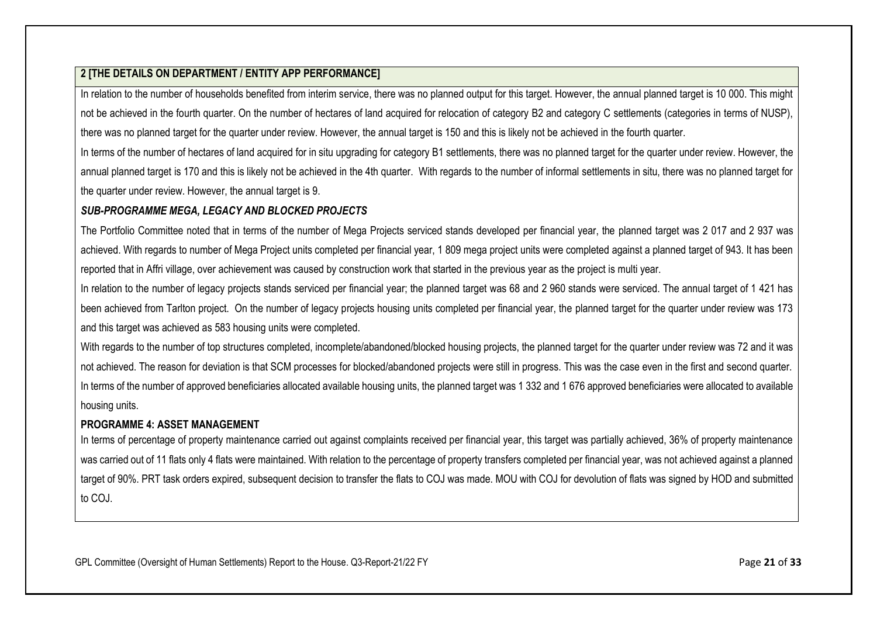In relation to the number of households benefited from interim service, there was no planned output for this target. However, the annual planned target is 10 000. This might not be achieved in the fourth quarter. On the number of hectares of land acquired for relocation of category B2 and category C settlements (categories in terms of NUSP), there was no planned target for the quarter under review. However, the annual target is 150 and this is likely not be achieved in the fourth quarter.

In terms of the number of hectares of land acquired for in situ upgrading for category B1 settlements, there was no planned target for the quarter under review. However, the annual planned target is 170 and this is likely not be achieved in the 4th quarter. With regards to the number of informal settlements in situ, there was no planned target for the quarter under review. However, the annual target is 9.

## *SUB-PROGRAMME MEGA, LEGACY AND BLOCKED PROJECTS*

The Portfolio Committee noted that in terms of the number of Mega Projects serviced stands developed per financial year, the planned target was 2 017 and 2 937 was achieved. With regards to number of Mega Project units completed per financial year, 1 809 mega project units were completed against a planned target of 943. It has been reported that in Affri village, over achievement was caused by construction work that started in the previous year as the project is multi year.

In relation to the number of legacy projects stands serviced per financial year; the planned target was 68 and 2 960 stands were serviced. The annual target of 1 421 has been achieved from Tarlton project. On the number of legacy projects housing units completed per financial year, the planned target for the quarter under review was 173 and this target was achieved as 583 housing units were completed.

With regards to the number of top structures completed, incomplete/abandoned/blocked housing projects, the planned target for the quarter under review was 72 and it was not achieved. The reason for deviation is that SCM processes for blocked/abandoned projects were still in progress. This was the case even in the first and second quarter. In terms of the number of approved beneficiaries allocated available housing units, the planned target was 1 332 and 1 676 approved beneficiaries were allocated to available housing units.

## **PROGRAMME 4: ASSET MANAGEMENT**

In terms of percentage of property maintenance carried out against complaints received per financial year, this target was partially achieved, 36% of property maintenance was carried out of 11 flats only 4 flats were maintained. With relation to the percentage of property transfers completed per financial year, was not achieved against a planned target of 90%. PRT task orders expired, subsequent decision to transfer the flats to COJ was made. MOU with COJ for devolution of flats was signed by HOD and submitted to COJ.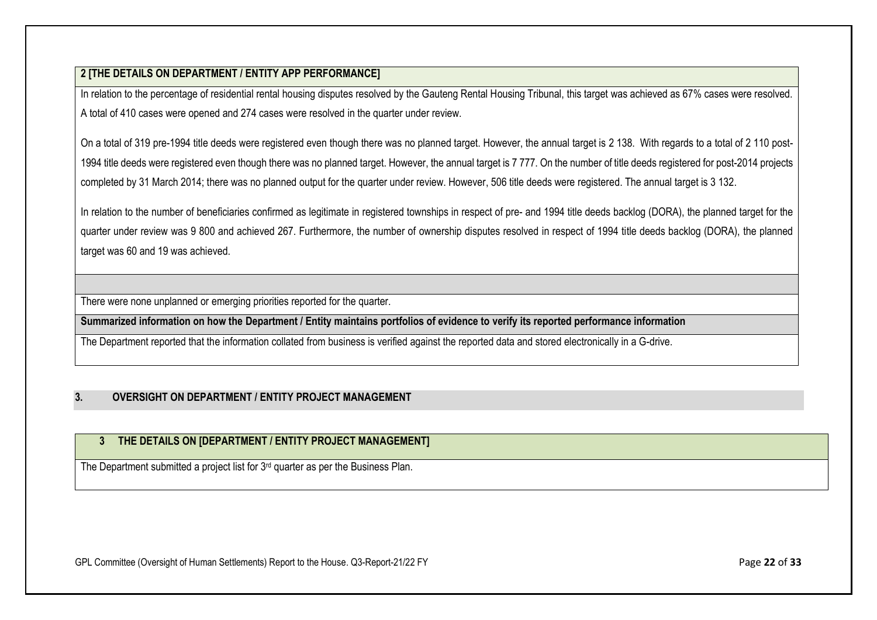In relation to the percentage of residential rental housing disputes resolved by the Gauteng Rental Housing Tribunal, this target was achieved as 67% cases were resolved. A total of 410 cases were opened and 274 cases were resolved in the quarter under review.

On a total of 319 pre-1994 title deeds were registered even though there was no planned target. However, the annual target is 2 138. With regards to a total of 2 110 post-1994 title deeds were registered even though there was no planned target. However, the annual target is 7 777. On the number of title deeds registered for post-2014 projects completed by 31 March 2014; there was no planned output for the quarter under review. However, 506 title deeds were registered. The annual target is 3 132.

In relation to the number of beneficiaries confirmed as legitimate in registered townships in respect of pre- and 1994 title deeds backlog (DORA), the planned target for the quarter under review was 9 800 and achieved 267. Furthermore, the number of ownership disputes resolved in respect of 1994 title deeds backlog (DORA), the planned target was 60 and 19 was achieved.

There were none unplanned or emerging priorities reported for the quarter.

**Summarized information on how the Department / Entity maintains portfolios of evidence to verify its reported performance information**

The Department reported that the information collated from business is verified against the reported data and stored electronically in a G-drive.

## <span id="page-21-0"></span>**3. OVERSIGHT ON DEPARTMENT / ENTITY PROJECT MANAGEMENT**

## **3 THE DETAILS ON [DEPARTMENT / ENTITY PROJECT MANAGEMENT]**

The Department submitted a project list for 3<sup>rd</sup> quarter as per the Business Plan.

GPL Committee (Oversight of Human Settlements) Report to the House. Q3-Report-21/22 FY Page 22 of 33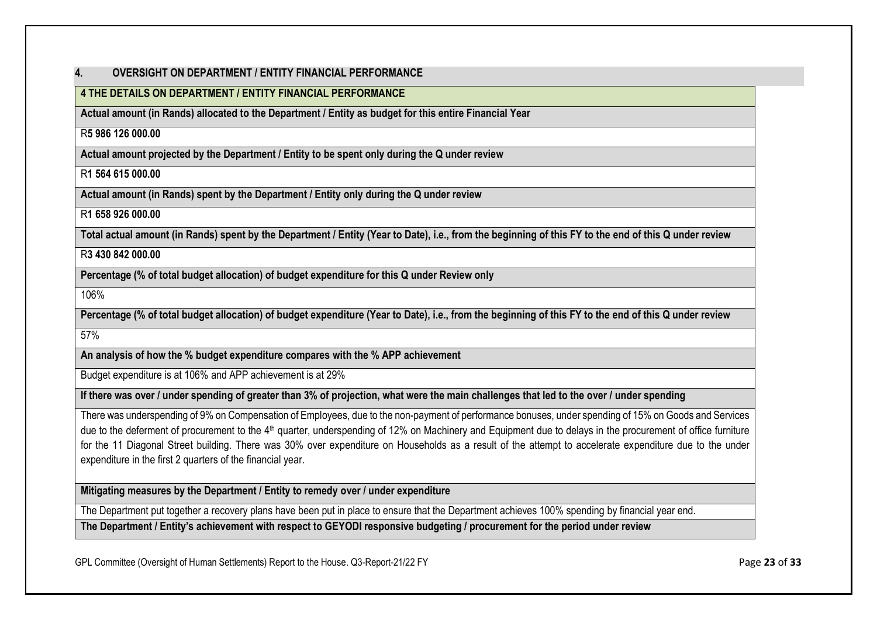#### <span id="page-22-0"></span>**4. OVERSIGHT ON DEPARTMENT / ENTITY FINANCIAL PERFORMANCE**

## **4 THE DETAILS ON DEPARTMENT / ENTITY FINANCIAL PERFORMANCE**

**Actual amount (in Rands) allocated to the Department / Entity as budget for this entire Financial Year** 

#### R**5 986 126 000.00**

**Actual amount projected by the Department / Entity to be spent only during the Q under review**

## R**1 564 615 000.00**

**Actual amount (in Rands) spent by the Department / Entity only during the Q under review**

## R**1 658 926 000.00**

**Total actual amount (in Rands) spent by the Department / Entity (Year to Date), i.e., from the beginning of this FY to the end of this Q under review**

#### R**3 430 842 000.00**

**Percentage (% of total budget allocation) of budget expenditure for this Q under Review only**

106%

**Percentage (% of total budget allocation) of budget expenditure (Year to Date), i.e., from the beginning of this FY to the end of this Q under review**

57%

**An analysis of how the % budget expenditure compares with the % APP achievement**

Budget expenditure is at 106% and APP achievement is at 29%

**If there was over / under spending of greater than 3% of projection, what were the main challenges that led to the over / under spending**

There was underspending of 9% on Compensation of Employees, due to the non-payment of performance bonuses, under spending of 15% on Goods and Services due to the deferment of procurement to the 4<sup>th</sup> quarter, underspending of 12% on Machinery and Equipment due to delays in the procurement of office furniture for the 11 Diagonal Street building. There was 30% over expenditure on Households as a result of the attempt to accelerate expenditure due to the under expenditure in the first 2 quarters of the financial year.

**Mitigating measures by the Department / Entity to remedy over / under expenditure**

The Department put together a recovery plans have been put in place to ensure that the Department achieves 100% spending by financial year end.

**The Department / Entity's achievement with respect to GEYODI responsive budgeting / procurement for the period under review**

GPL Committee (Oversight of Human Settlements) Report to the House. Q3-Report-21/22 FY **Page 23** of **33** Of **33**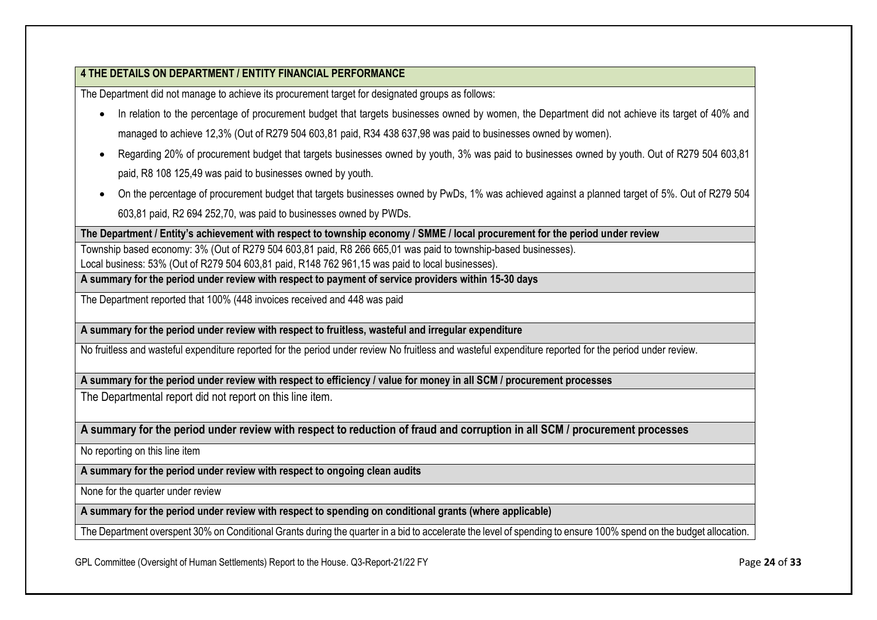## **4 THE DETAILS ON DEPARTMENT / ENTITY FINANCIAL PERFORMANCE**

The Department did not manage to achieve its procurement target for designated groups as follows:

- In relation to the percentage of procurement budget that targets businesses owned by women, the Department did not achieve its target of 40% and managed to achieve 12,3% (Out of R279 504 603,81 paid, R34 438 637,98 was paid to businesses owned by women).
- Regarding 20% of procurement budget that targets businesses owned by youth, 3% was paid to businesses owned by youth. Out of R279 504 603,81 paid, R8 108 125,49 was paid to businesses owned by youth.
- On the percentage of procurement budget that targets businesses owned by PwDs, 1% was achieved against a planned target of 5%. Out of R279 504 603,81 paid, R2 694 252,70, was paid to businesses owned by PWDs.

**The Department / Entity's achievement with respect to township economy / SMME / local procurement for the period under review**

Township based economy: 3% (Out of R279 504 603,81 paid, R8 266 665,01 was paid to township-based businesses). Local business: 53% (Out of R279 504 603,81 paid, R148 762 961,15 was paid to local businesses).

**A summary for the period under review with respect to payment of service providers within 15-30 days**

The Department reported that 100% (448 invoices received and 448 was paid

**A summary for the period under review with respect to fruitless, wasteful and irregular expenditure**

No fruitless and wasteful expenditure reported for the period under review No fruitless and wasteful expenditure reported for the period under review.

**A summary for the period under review with respect to efficiency / value for money in all SCM / procurement processes**

The Departmental report did not report on this line item.

**A summary for the period under review with respect to reduction of fraud and corruption in all SCM / procurement processes**

No reporting on this line item

**A summary for the period under review with respect to ongoing clean audits**

None for the quarter under review

**A summary for the period under review with respect to spending on conditional grants (where applicable)**

The Department overspent 30% on Conditional Grants during the quarter in a bid to accelerate the level of spending to ensure 100% spend on the budget allocation.

GPL Committee (Oversight of Human Settlements) Report to the House. Q3-Report-21/22 FY **Page 24** of **33 Page 24** of **33**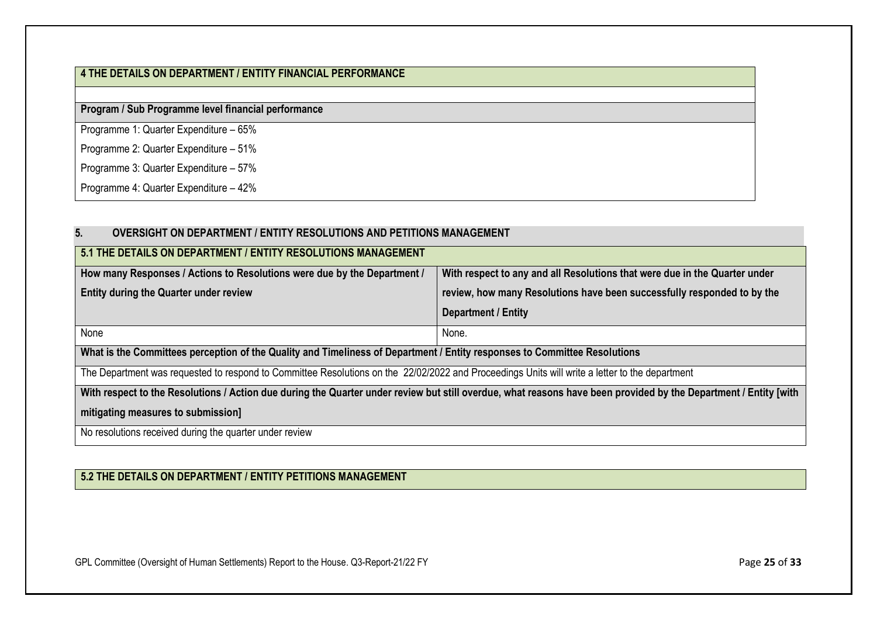## **4 THE DETAILS ON DEPARTMENT / ENTITY FINANCIAL PERFORMANCE**

**Program / Sub Programme level financial performance**

Programme 1: Quarter Expenditure – 65%

Programme 2: Quarter Expenditure – 51%

Programme 3: Quarter Expenditure – 57%

<span id="page-24-0"></span>Programme 4: Quarter Expenditure – 42%

| 5 <sub>1</sub><br><b>OVERSIGHT ON DEPARTMENT / ENTITY RESOLUTIONS AND PETITIONS MANAGEMENT</b>                                                                   |                                                                         |  |  |  |  |
|------------------------------------------------------------------------------------------------------------------------------------------------------------------|-------------------------------------------------------------------------|--|--|--|--|
| 5.1 THE DETAILS ON DEPARTMENT / ENTITY RESOLUTIONS MANAGEMENT                                                                                                    |                                                                         |  |  |  |  |
| How many Responses / Actions to Resolutions were due by the Department /<br>With respect to any and all Resolutions that were due in the Quarter under           |                                                                         |  |  |  |  |
| <b>Entity during the Quarter under review</b>                                                                                                                    | review, how many Resolutions have been successfully responded to by the |  |  |  |  |
| Department / Entity                                                                                                                                              |                                                                         |  |  |  |  |
| None                                                                                                                                                             | None.                                                                   |  |  |  |  |
| What is the Committees perception of the Quality and Timeliness of Department / Entity responses to Committee Resolutions                                        |                                                                         |  |  |  |  |
| The Department was requested to respond to Committee Resolutions on the 22/02/2022 and Proceedings Units will write a letter to the department                   |                                                                         |  |  |  |  |
| With respect to the Resolutions / Action due during the Quarter under review but still overdue, what reasons have been provided by the Department / Entity [with |                                                                         |  |  |  |  |
| mitigating measures to submission]                                                                                                                               |                                                                         |  |  |  |  |
| No resolutions received during the quarter under review                                                                                                          |                                                                         |  |  |  |  |

## **5.2 THE DETAILS ON DEPARTMENT / ENTITY PETITIONS MANAGEMENT**

GPL Committee (Oversight of Human Settlements) Report to the House. Q3-Report-21/22 FY Page 25 of 33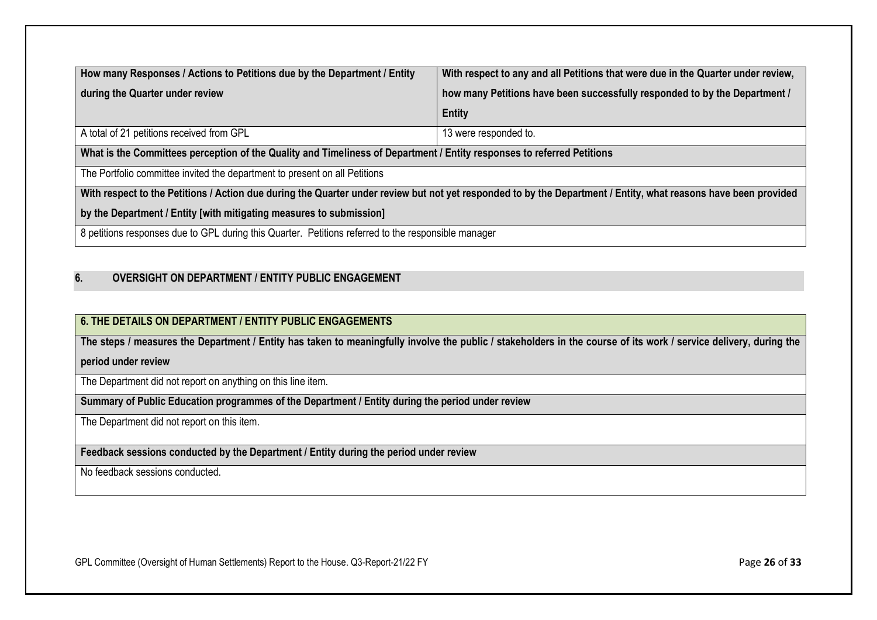| How many Responses / Actions to Petitions due by the Department / Entity                                                                                        | With respect to any and all Petitions that were due in the Quarter under review, |  |  |
|-----------------------------------------------------------------------------------------------------------------------------------------------------------------|----------------------------------------------------------------------------------|--|--|
| how many Petitions have been successfully responded to by the Department /<br>during the Quarter under review                                                   |                                                                                  |  |  |
|                                                                                                                                                                 | <b>Entity</b>                                                                    |  |  |
| A total of 21 petitions received from GPL                                                                                                                       | 13 were responded to.                                                            |  |  |
| What is the Committees perception of the Quality and Timeliness of Department / Entity responses to referred Petitions                                          |                                                                                  |  |  |
| The Portfolio committee invited the department to present on all Petitions                                                                                      |                                                                                  |  |  |
| With respect to the Petitions / Action due during the Quarter under review but not yet responded to by the Department / Entity, what reasons have been provided |                                                                                  |  |  |
| by the Department / Entity [with mitigating measures to submission]                                                                                             |                                                                                  |  |  |
| 8 petitions responses due to GPL during this Quarter. Petitions referred to the responsible manager                                                             |                                                                                  |  |  |

#### <span id="page-25-0"></span>**6. OVERSIGHT ON DEPARTMENT / ENTITY PUBLIC ENGAGEMENT**

## **6. THE DETAILS ON DEPARTMENT / ENTITY PUBLIC ENGAGEMENTS**

**The steps / measures the Department / Entity has taken to meaningfully involve the public / stakeholders in the course of its work / service delivery, during the** 

**period under review**

The Department did not report on anything on this line item.

**Summary of Public Education programmes of the Department / Entity during the period under review**

The Department did not report on this item.

**Feedback sessions conducted by the Department / Entity during the period under review**

No feedback sessions conducted.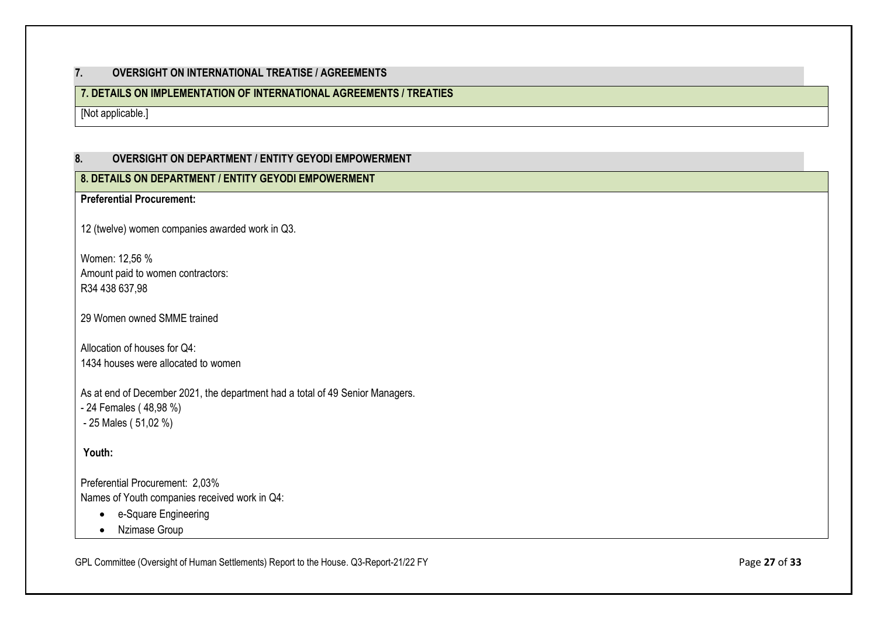## <span id="page-26-0"></span>**7. OVERSIGHT ON INTERNATIONAL TREATISE / AGREEMENTS**

## **7. DETAILS ON IMPLEMENTATION OF INTERNATIONAL AGREEMENTS / TREATIES**

<span id="page-26-1"></span>[Not applicable.]

## **8. OVERSIGHT ON DEPARTMENT / ENTITY GEYODI EMPOWERMENT**

## **8. DETAILS ON DEPARTMENT / ENTITY GEYODI EMPOWERMENT**

**Preferential Procurement:** 

12 (twelve) women companies awarded work in Q3.

Women: 12,56 % Amount paid to women contractors: R34 438 637,98

29 Women owned SMME trained

Allocation of houses for Q4: 1434 houses were allocated to women

As at end of December 2021, the department had a total of 49 Senior Managers. - 24 Females ( 48,98 %) - 25 Males ( 51,02 %)

**Youth:**

Preferential Procurement: 2,03% Names of Youth companies received work in Q4:

- e-Square Engineering
- Nzimase Group

GPL Committee (Oversight of Human Settlements) Report to the House. Q3-Report-21/22 FY **Page 27** of **33** Page 27 of **33**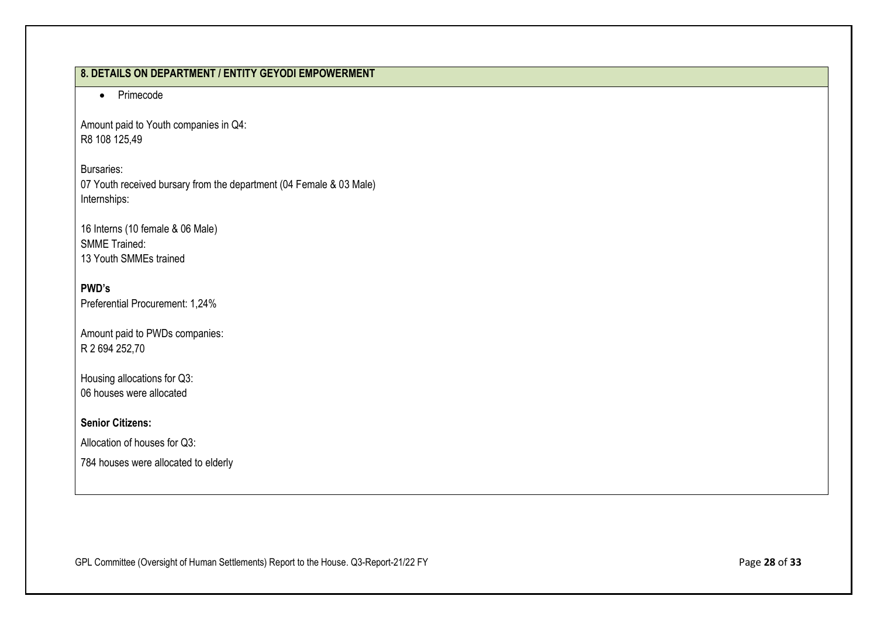## **8. DETAILS ON DEPARTMENT / ENTITY GEYODI EMPOWERMENT**

• Primecode

Amount paid to Youth companies in Q4: R8 108 125,49

Bursaries: 07 Youth received bursary from the department (04 Female & 03 Male) Internships:

16 Interns (10 female & 06 Male) SMME Trained: 13 Youth SMMEs trained

## **PWD's** Preferential Procurement: 1,24%

Amount paid to PWDs companies: R 2 694 252,70

Housing allocations for Q3: 06 houses were allocated

**Senior Citizens:**

Allocation of houses for Q3:

784 houses were allocated to elderly

GPL Committee (Oversight of Human Settlements) Report to the House. Q3-Report-21/22 FY Page 28 of **33**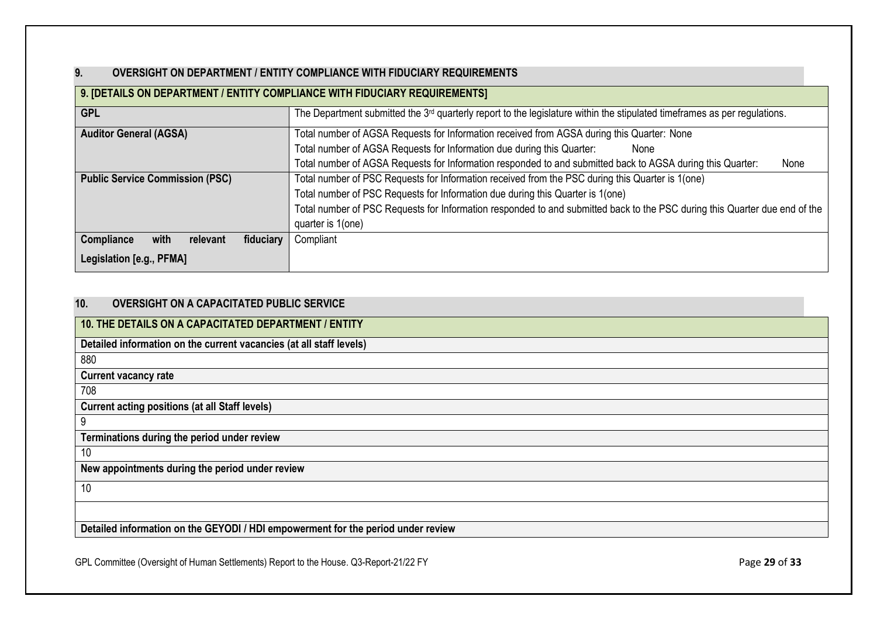## <span id="page-28-0"></span>**9. OVERSIGHT ON DEPARTMENT / ENTITY COMPLIANCE WITH FIDUCIARY REQUIREMENTS**

| 9. [DETAILS ON DEPARTMENT / ENTITY COMPLIANCE WITH FIDUCIARY REQUIREMENTS] |                                                                                                                             |  |  |  |
|----------------------------------------------------------------------------|-----------------------------------------------------------------------------------------------------------------------------|--|--|--|
| <b>GPL</b>                                                                 | The Department submitted the $3rd$ quarterly report to the legislature within the stipulated timeframes as per regulations. |  |  |  |
| <b>Auditor General (AGSA)</b>                                              | Total number of AGSA Requests for Information received from AGSA during this Quarter: None                                  |  |  |  |
|                                                                            | Total number of AGSA Requests for Information due during this Quarter:<br>None                                              |  |  |  |
|                                                                            | Total number of AGSA Requests for Information responded to and submitted back to AGSA during this Quarter:<br>None          |  |  |  |
| <b>Public Service Commission (PSC)</b>                                     | Total number of PSC Requests for Information received from the PSC during this Quarter is 1(one)                            |  |  |  |
|                                                                            | Total number of PSC Requests for Information due during this Quarter is 1(one)                                              |  |  |  |
|                                                                            | Total number of PSC Requests for Information responded to and submitted back to the PSC during this Quarter due end of the  |  |  |  |
| quarter is 1(one)                                                          |                                                                                                                             |  |  |  |
| Compliance<br>fiduciary<br>with<br>relevant                                | Compliant                                                                                                                   |  |  |  |
| Legislation [e.g., PFMA]                                                   |                                                                                                                             |  |  |  |

## <span id="page-28-1"></span>**10. OVERSIGHT ON A CAPACITATED PUBLIC SERVICE**

| 10. THE DETAILS ON A CAPACITATED DEPARTMENT / ENTITY                             |
|----------------------------------------------------------------------------------|
| Detailed information on the current vacancies (at all staff levels)              |
| 880                                                                              |
| <b>Current vacancy rate</b>                                                      |
| 708                                                                              |
| <b>Current acting positions (at all Staff levels)</b>                            |
| 9                                                                                |
| Terminations during the period under review                                      |
| 10                                                                               |
| New appointments during the period under review                                  |
| 10                                                                               |
|                                                                                  |
| Detailed information on the GEYODI / HDI empowerment for the period under review |

GPL Committee (Oversight of Human Settlements) Report to the House. Q3-Report-21/22 FY Page 29 of 33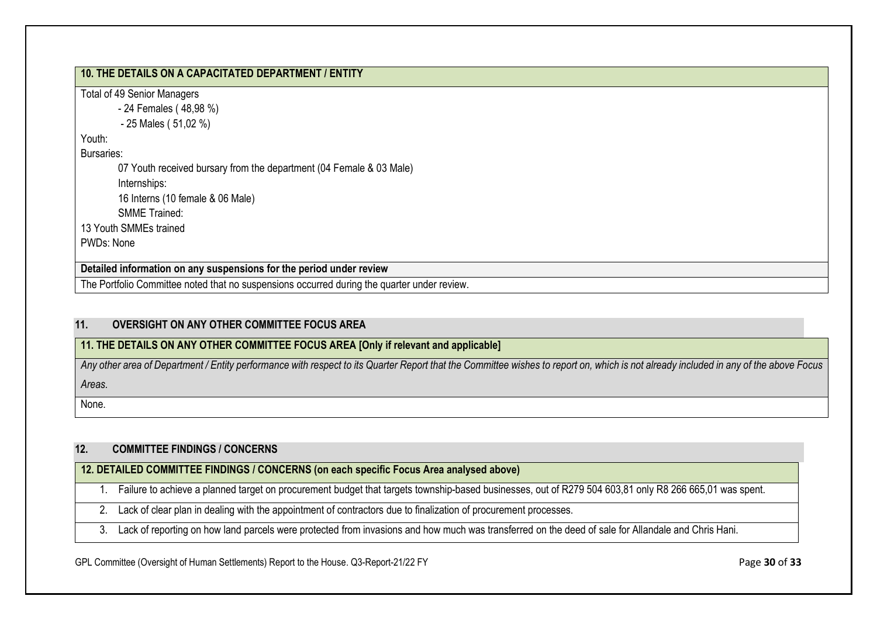| 10. THE DETAILS ON A CAPACITATED DEPARTMENT / ENTITY                                        |  |
|---------------------------------------------------------------------------------------------|--|
| <b>Total of 49 Senior Managers</b>                                                          |  |
| - 24 Females (48,98 %)                                                                      |  |
| $-25$ Males (51,02 %)                                                                       |  |
| Youth:                                                                                      |  |
| Bursaries:                                                                                  |  |
| 07 Youth received bursary from the department (04 Female & 03 Male)                         |  |
| Internships:                                                                                |  |
| 16 Interns (10 female & 06 Male)                                                            |  |
| <b>SMME Trained:</b>                                                                        |  |
| 13 Youth SMMEs trained                                                                      |  |
| PWDs: None                                                                                  |  |
| Detailed information on any suspensions for the period under review                         |  |
| The Portfolio Committee noted that no suspensions occurred during the quarter under review. |  |

#### <span id="page-29-0"></span>**11. OVERSIGHT ON ANY OTHER COMMITTEE FOCUS AREA**

#### **11. THE DETAILS ON ANY OTHER COMMITTEE FOCUS AREA [Only if relevant and applicable]**

*Any other area of Department / Entity performance with respect to its Quarter Report that the Committee wishes to report on, which is not already included in any of the above Focus Areas.*

<span id="page-29-1"></span>None.

#### **12. COMMITTEE FINDINGS / CONCERNS**

## **12. DETAILED COMMITTEE FINDINGS / CONCERNS (on each specific Focus Area analysed above)**

- 1. Failure to achieve a planned target on procurement budget that targets township-based businesses, out of R279 504 603,81 only R8 266 665,01 was spent.
- 2. Lack of clear plan in dealing with the appointment of contractors due to finalization of procurement processes.
- 3. Lack of reporting on how land parcels were protected from invasions and how much was transferred on the deed of sale for Allandale and Chris Hani.

GPL Committee (Oversight of Human Settlements) Report to the House. Q3-Report-21/22 FY Page 30 of 33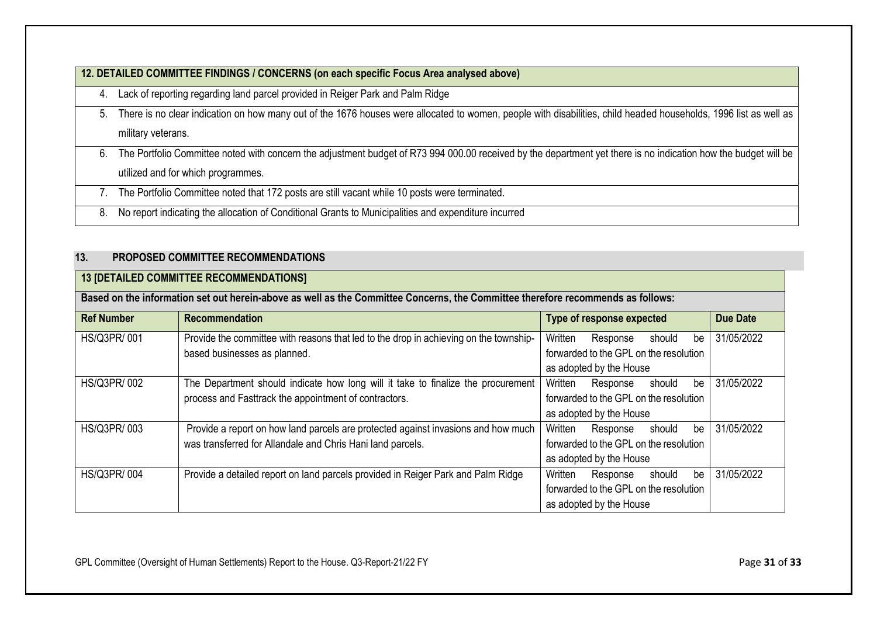|    | 12. DETAILED COMMITTEE FINDINGS / CONCERNS (on each specific Focus Area analysed above)                                                                                                               |
|----|-------------------------------------------------------------------------------------------------------------------------------------------------------------------------------------------------------|
| 4. | Lack of reporting regarding land parcel provided in Reiger Park and Palm Ridge                                                                                                                        |
| 5. | There is no clear indication on how many out of the 1676 houses were allocated to women, people with disabilities, child headed households, 1996 list as well as<br>military veterans.                |
| 6. | The Portfolio Committee noted with concern the adjustment budget of R73 994 000.00 received by the department yet there is no indication how the budget will be<br>utilized and for which programmes. |
|    | The Portfolio Committee noted that 172 posts are still vacant while 10 posts were terminated.                                                                                                         |
| 8. | No report indicating the allocation of Conditional Grants to Municipalities and expenditure incurred                                                                                                  |

## <span id="page-30-0"></span>**13. PROPOSED COMMITTEE RECOMMENDATIONS**

## **13 [DETAILED COMMITTEE RECOMMENDATIONS]**

| Based on the information set out herein-above as well as the Committee Concerns, the Committee therefore recommends as follows: |                                                                                       |                                        |                                        |        |                 |            |
|---------------------------------------------------------------------------------------------------------------------------------|---------------------------------------------------------------------------------------|----------------------------------------|----------------------------------------|--------|-----------------|------------|
| <b>Ref Number</b>                                                                                                               | <b>Recommendation</b>                                                                 | <b>Type of response expected</b>       |                                        |        | <b>Due Date</b> |            |
| HS/Q3PR/001                                                                                                                     | Provide the committee with reasons that led to the drop in achieving on the township- | Written                                | Response                               | should | be              | 31/05/2022 |
|                                                                                                                                 | based businesses as planned.                                                          | forwarded to the GPL on the resolution |                                        |        |                 |            |
|                                                                                                                                 |                                                                                       |                                        | as adopted by the House                |        |                 |            |
| HS/Q3PR/002                                                                                                                     | The Department should indicate how long will it take to finalize the procurement      | Written                                | Response                               | should | be              | 31/05/2022 |
|                                                                                                                                 | process and Fasttrack the appointment of contractors.                                 | forwarded to the GPL on the resolution |                                        |        |                 |            |
|                                                                                                                                 |                                                                                       |                                        | as adopted by the House                |        |                 |            |
| HS/Q3PR/003                                                                                                                     | Provide a report on how land parcels are protected against invasions and how much     | Written                                | Response                               | should | be              | 31/05/2022 |
|                                                                                                                                 | was transferred for Allandale and Chris Hani land parcels.                            | forwarded to the GPL on the resolution |                                        |        |                 |            |
|                                                                                                                                 |                                                                                       |                                        | as adopted by the House                |        |                 |            |
| HS/Q3PR/004                                                                                                                     | Provide a detailed report on land parcels provided in Reiger Park and Palm Ridge      | Written                                | Response                               | should | be              | 31/05/2022 |
|                                                                                                                                 |                                                                                       |                                        | forwarded to the GPL on the resolution |        |                 |            |
|                                                                                                                                 |                                                                                       |                                        | as adopted by the House                |        |                 |            |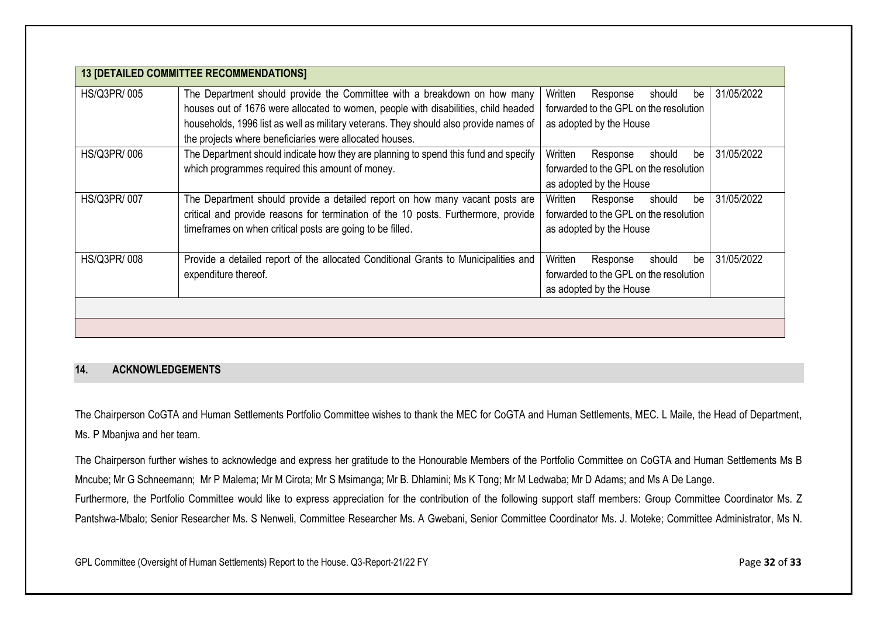| <b>13 [DETAILED COMMITTEE RECOMMENDATIONS]</b> |                                                                                                                                                                                                                                                                                                                    |                                                                                                          |            |
|------------------------------------------------|--------------------------------------------------------------------------------------------------------------------------------------------------------------------------------------------------------------------------------------------------------------------------------------------------------------------|----------------------------------------------------------------------------------------------------------|------------|
| HS/Q3PR/005                                    | The Department should provide the Committee with a breakdown on how many<br>houses out of 1676 were allocated to women, people with disabilities, child headed<br>households, 1996 list as well as military veterans. They should also provide names of<br>the projects where beneficiaries were allocated houses. | Written<br>Response<br>should<br>be<br>forwarded to the GPL on the resolution<br>as adopted by the House | 31/05/2022 |
| HS/Q3PR/006                                    | The Department should indicate how they are planning to spend this fund and specify<br>which programmes required this amount of money.                                                                                                                                                                             | Written<br>Response<br>should<br>be<br>forwarded to the GPL on the resolution<br>as adopted by the House | 31/05/2022 |
| HS/Q3PR/007                                    | The Department should provide a detailed report on how many vacant posts are<br>critical and provide reasons for termination of the 10 posts. Furthermore, provide<br>timeframes on when critical posts are going to be filled.                                                                                    | Written<br>be<br>Response<br>should<br>forwarded to the GPL on the resolution<br>as adopted by the House | 31/05/2022 |
| <b>HS/Q3PR/008</b>                             | Provide a detailed report of the allocated Conditional Grants to Municipalities and<br>expenditure thereof.                                                                                                                                                                                                        | Written<br>should<br>Response<br>be<br>forwarded to the GPL on the resolution<br>as adopted by the House | 31/05/2022 |
|                                                |                                                                                                                                                                                                                                                                                                                    |                                                                                                          |            |

#### <span id="page-31-1"></span><span id="page-31-0"></span>**14. ACKNOWLEDGEMENTS**

The Chairperson CoGTA and Human Settlements Portfolio Committee wishes to thank the MEC for CoGTA and Human Settlements, MEC. L Maile, the Head of Department, Ms. P Mbanjwa and her team.

The Chairperson further wishes to acknowledge and express her gratitude to the Honourable Members of the Portfolio Committee on CoGTA and Human Settlements Ms B Mncube; Mr G Schneemann; Mr P Malema; Mr M Cirota; Mr S Msimanga; Mr B. Dhlamini; Ms K Tong; Mr M Ledwaba; Mr D Adams; and Ms A De Lange. Furthermore, the Portfolio Committee would like to express appreciation for the contribution of the following support staff members: Group Committee Coordinator Ms. Z Pantshwa-Mbalo; Senior Researcher Ms. S Nenweli, Committee Researcher Ms. A Gwebani, Senior Committee Coordinator Ms. J. Moteke; Committee Administrator, Ms N.